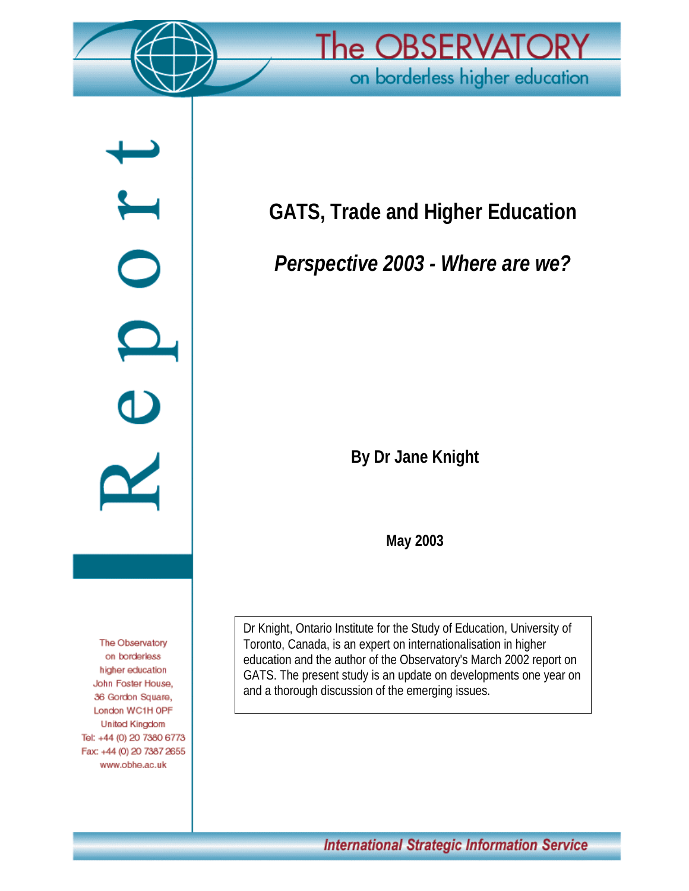

 $\overline{\phantom{a}}$ 

 $\bigcirc$ 

 $\frac{1}{2}$ 



**GATS, Trade and Higher Education**

*Perspective 2003 - Where are we?*

**By Dr Jane Knight**

**May 2003**

Dr Knight, Ontario Institute for the Study of Education, University of Toronto, Canada, is an expert on internationalisation in higher education and the author of the Observatory's March 2002 report on GATS. The present study is an update on developments one year on and a thorough discussion of the emerging issues.

The Observatory on borderless higher education John Foster House, 36 Gordon Square, London WC1H OPF **United Kingdom** Tel: +44 (0) 20 7380 6773 Fax: +44 (0) 20 7387 2655 www.obhe.ac.uk

International Strategic Information Service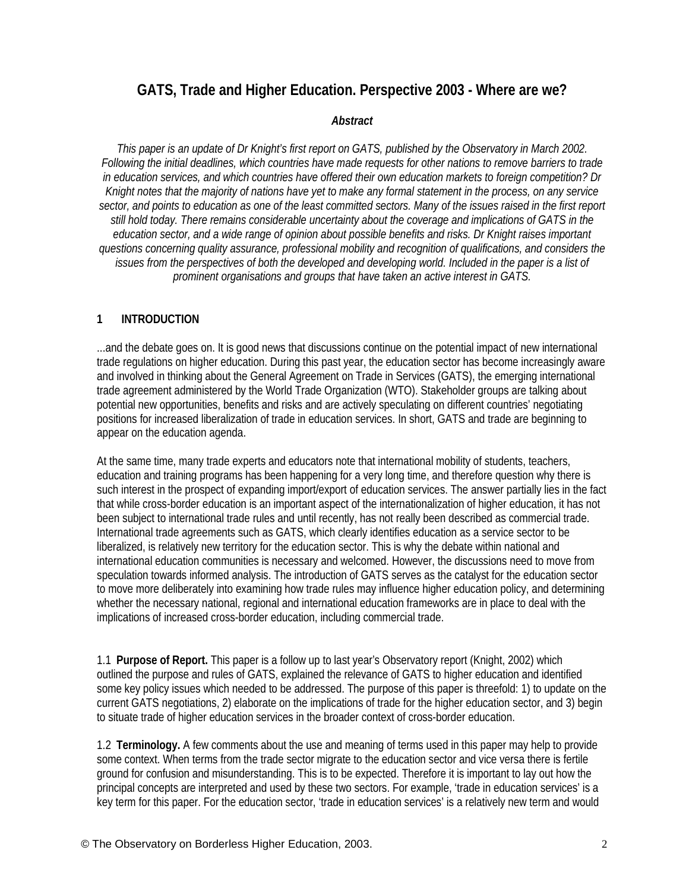# **GATS, Trade and Higher Education. Perspective 2003 - Where are we?**

#### *Abstract*

*This paper is an update of Dr Knight's first report on GATS, published by the Observatory in March 2002. Following the initial deadlines, which countries have made requests for other nations to remove barriers to trade in education services, and which countries have offered their own education markets to foreign competition? Dr Knight notes that the majority of nations have yet to make any formal statement in the process, on any service sector, and points to education as one of the least committed sectors. Many of the issues raised in the first report still hold today. There remains considerable uncertainty about the coverage and implications of GATS in the education sector, and a wide range of opinion about possible benefits and risks. Dr Knight raises important questions concerning quality assurance, professional mobility and recognition of qualifications, and considers the issues from the perspectives of both the developed and developing world. Included in the paper is a list of prominent organisations and groups that have taken an active interest in GATS.*

#### **1 INTRODUCTION**

...and the debate goes on. It is good news that discussions continue on the potential impact of new international trade regulations on higher education. During this past year, the education sector has become increasingly aware and involved in thinking about the General Agreement on Trade in Services (GATS), the emerging international trade agreement administered by the World Trade Organization (WTO). Stakeholder groups are talking about potential new opportunities, benefits and risks and are actively speculating on different countries' negotiating positions for increased liberalization of trade in education services. In short, GATS and trade are beginning to appear on the education agenda.

At the same time, many trade experts and educators note that international mobility of students, teachers, education and training programs has been happening for a very long time, and therefore question why there is such interest in the prospect of expanding import/export of education services. The answer partially lies in the fact that while cross-border education is an important aspect of the internationalization of higher education, it has not been subject to international trade rules and until recently, has not really been described as commercial trade. International trade agreements such as GATS, which clearly identifies education as a service sector to be liberalized, is relatively new territory for the education sector. This is why the debate within national and international education communities is necessary and welcomed. However, the discussions need to move from speculation towards informed analysis. The introduction of GATS serves as the catalyst for the education sector to move more deliberately into examining how trade rules may influence higher education policy, and determining whether the necessary national, regional and international education frameworks are in place to deal with the implications of increased cross-border education, including commercial trade.

1.1 **Purpose of Report.** This paper is a follow up to last year's Observatory report (Knight, 2002) which outlined the purpose and rules of GATS, explained the relevance of GATS to higher education and identified some key policy issues which needed to be addressed. The purpose of this paper is threefold: 1) to update on the current GATS negotiations, 2) elaborate on the implications of trade for the higher education sector, and 3) begin to situate trade of higher education services in the broader context of cross-border education.

1.2 **Terminology.** A few comments about the use and meaning of terms used in this paper may help to provide some context. When terms from the trade sector migrate to the education sector and vice versa there is fertile ground for confusion and misunderstanding. This is to be expected. Therefore it is important to lay out how the principal concepts are interpreted and used by these two sectors. For example, 'trade in education services' is a key term for this paper. For the education sector, 'trade in education services' is a relatively new term and would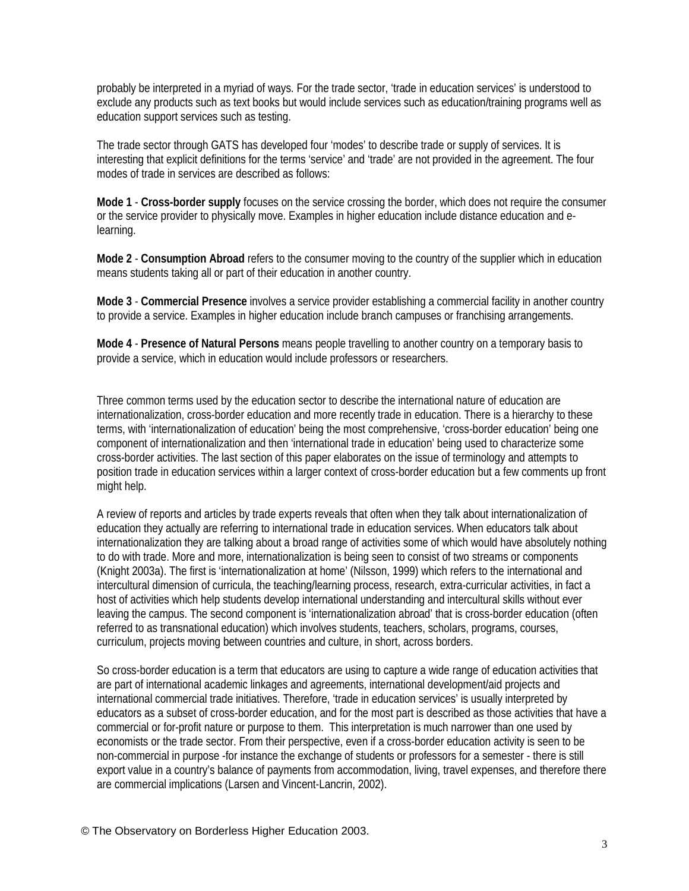probably be interpreted in a myriad of ways. For the trade sector, 'trade in education services' is understood to exclude any products such as text books but would include services such as education/training programs well as education support services such as testing.

The trade sector through GATS has developed four 'modes' to describe trade or supply of services. It is interesting that explicit definitions for the terms 'service' and 'trade' are not provided in the agreement. The four modes of trade in services are described as follows:

**Mode 1** - **Cross-border supply** focuses on the service crossing the border, which does not require the consumer or the service provider to physically move. Examples in higher education include distance education and elearning.

**Mode 2** - **Consumption Abroad** refers to the consumer moving to the country of the supplier which in education means students taking all or part of their education in another country.

**Mode 3** - **Commercial Presence** involves a service provider establishing a commercial facility in another country to provide a service. Examples in higher education include branch campuses or franchising arrangements.

**Mode 4** - **Presence of Natural Persons** means people travelling to another country on a temporary basis to provide a service, which in education would include professors or researchers.

Three common terms used by the education sector to describe the international nature of education are internationalization, cross-border education and more recently trade in education. There is a hierarchy to these terms, with 'internationalization of education' being the most comprehensive, 'cross-border education' being one component of internationalization and then 'international trade in education' being used to characterize some cross-border activities. The last section of this paper elaborates on the issue of terminology and attempts to position trade in education services within a larger context of cross-border education but a few comments up front might help.

A review of reports and articles by trade experts reveals that often when they talk about internationalization of education they actually are referring to international trade in education services. When educators talk about internationalization they are talking about a broad range of activities some of which would have absolutely nothing to do with trade. More and more, internationalization is being seen to consist of two streams or components (Knight 2003a). The first is 'internationalization at home' (Nilsson, 1999) which refers to the international and intercultural dimension of curricula, the teaching/learning process, research, extra-curricular activities, in fact a host of activities which help students develop international understanding and intercultural skills without ever leaving the campus. The second component is 'internationalization abroad' that is cross-border education (often referred to as transnational education) which involves students, teachers, scholars, programs, courses, curriculum, projects moving between countries and culture, in short, across borders.

So cross-border education is a term that educators are using to capture a wide range of education activities that are part of international academic linkages and agreements, international development/aid projects and international commercial trade initiatives. Therefore, 'trade in education services' is usually interpreted by educators as a subset of cross-border education, and for the most part is described as those activities that have a commercial or for-profit nature or purpose to them. This interpretation is much narrower than one used by economists or the trade sector. From their perspective, even if a cross-border education activity is seen to be non-commercial in purpose -for instance the exchange of students or professors for a semester - there is still export value in a country's balance of payments from accommodation, living, travel expenses, and therefore there are commercial implications (Larsen and Vincent-Lancrin, 2002).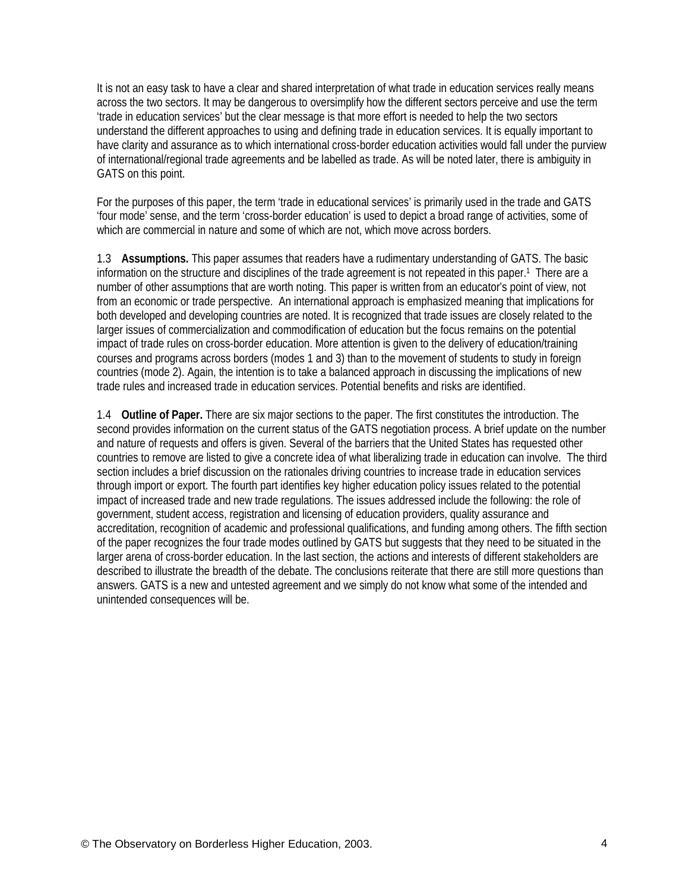It is not an easy task to have a clear and shared interpretation of what trade in education services really means across the two sectors. It may be dangerous to oversimplify how the different sectors perceive and use the term 'trade in education services' but the clear message is that more effort is needed to help the two sectors understand the different approaches to using and defining trade in education services. It is equally important to have clarity and assurance as to which international cross-border education activities would fall under the purview of international/regional trade agreements and be labelled as trade. As will be noted later, there is ambiguity in GATS on this point.

For the purposes of this paper, the term 'trade in educational services' is primarily used in the trade and GATS 'four mode' sense, and the term 'cross-border education' is used to depict a broad range of activities, some of which are commercial in nature and some of which are not, which move across borders.

1.3 **Assumptions.** This paper assumes that readers have a rudimentary understanding of GATS. The basic information on the structure and disciplines of the trade agreement is not repeated in this paper.<sup>1</sup> There are a number of other assumptions that are worth noting. This paper is written from an educator's point of view, not from an economic or trade perspective. An international approach is emphasized meaning that implications for both developed and developing countries are noted. It is recognized that trade issues are closely related to the larger issues of commercialization and commodification of education but the focus remains on the potential impact of trade rules on cross-border education. More attention is given to the delivery of education/training courses and programs across borders (modes 1 and 3) than to the movement of students to study in foreign countries (mode 2). Again, the intention is to take a balanced approach in discussing the implications of new trade rules and increased trade in education services. Potential benefits and risks are identified.

1.4 **Outline of Paper.** There are six major sections to the paper. The first constitutes the introduction. The second provides information on the current status of the GATS negotiation process. A brief update on the number and nature of requests and offers is given. Several of the barriers that the United States has requested other countries to remove are listed to give a concrete idea of what liberalizing trade in education can involve. The third section includes a brief discussion on the rationales driving countries to increase trade in education services through import or export. The fourth part identifies key higher education policy issues related to the potential impact of increased trade and new trade regulations. The issues addressed include the following: the role of government, student access, registration and licensing of education providers, quality assurance and accreditation, recognition of academic and professional qualifications, and funding among others. The fifth section of the paper recognizes the four trade modes outlined by GATS but suggests that they need to be situated in the larger arena of cross-border education. In the last section, the actions and interests of different stakeholders are described to illustrate the breadth of the debate. The conclusions reiterate that there are still more questions than answers. GATS is a new and untested agreement and we simply do not know what some of the intended and unintended consequences will be.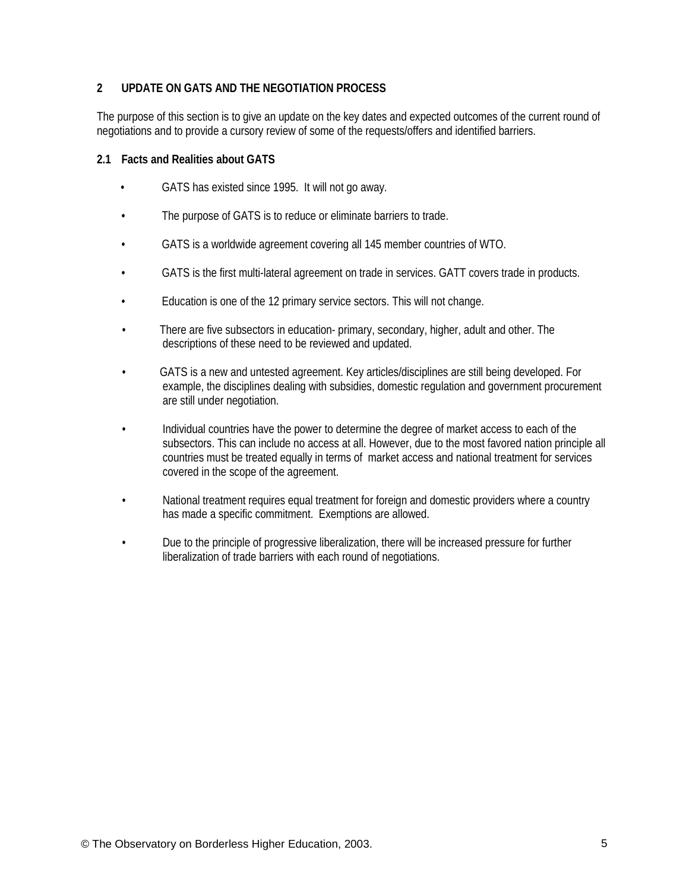## **2 UPDATE ON GATS AND THE NEGOTIATION PROCESS**

The purpose of this section is to give an update on the key dates and expected outcomes of the current round of negotiations and to provide a cursory review of some of the requests/offers and identified barriers.

#### **2.1 Facts and Realities about GATS**

- GATS has existed since 1995. It will not go away.
- The purpose of GATS is to reduce or eliminate barriers to trade.
- GATS is a worldwide agreement covering all 145 member countries of WTO.
- GATS is the first multi-lateral agreement on trade in services. GATT covers trade in products.
- Education is one of the 12 primary service sectors. This will not change.
- There are five subsectors in education- primary, secondary, higher, adult and other. The descriptions of these need to be reviewed and updated.
- GATS is a new and untested agreement. Key articles/disciplines are still being developed. For example, the disciplines dealing with subsidies, domestic regulation and government procurement are still under negotiation.
- Individual countries have the power to determine the degree of market access to each of the subsectors. This can include no access at all. However, due to the most favored nation principle all countries must be treated equally in terms of market access and national treatment for services covered in the scope of the agreement.
- National treatment requires equal treatment for foreign and domestic providers where a country has made a specific commitment. Exemptions are allowed.
- Due to the principle of progressive liberalization, there will be increased pressure for further liberalization of trade barriers with each round of negotiations.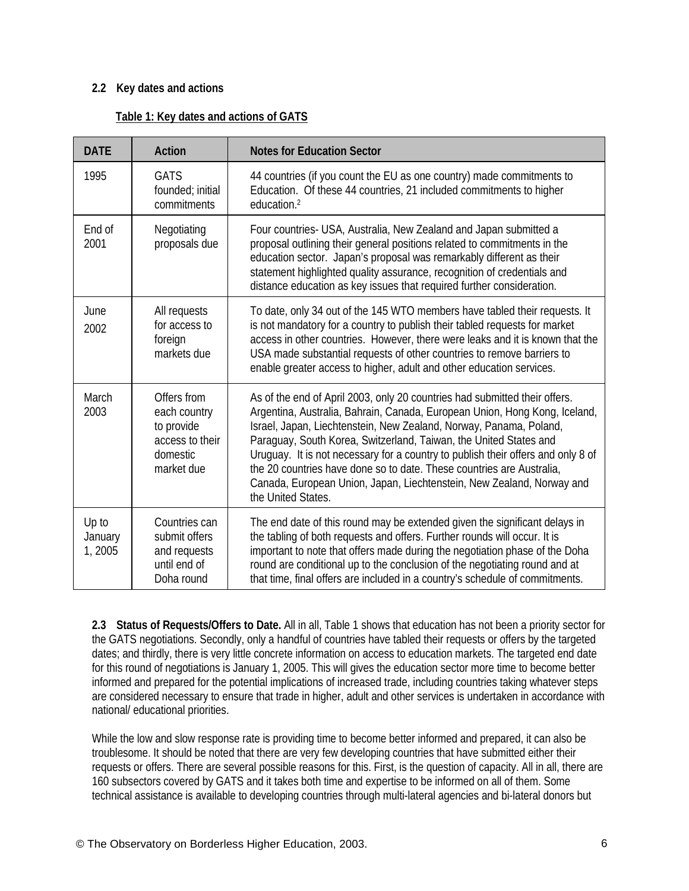## **2.2 Key dates and actions**

## **Table 1: Key dates and actions of GATS**

| <b>DATE</b>                | <b>Action</b>                                                                          | <b>Notes for Education Sector</b>                                                                                                                                                                                                                                                                                                                                                                                                                                                                                                                               |  |
|----------------------------|----------------------------------------------------------------------------------------|-----------------------------------------------------------------------------------------------------------------------------------------------------------------------------------------------------------------------------------------------------------------------------------------------------------------------------------------------------------------------------------------------------------------------------------------------------------------------------------------------------------------------------------------------------------------|--|
| 1995                       | <b>GATS</b><br>founded; initial<br>commitments                                         | 44 countries (if you count the EU as one country) made commitments to<br>Education. Of these 44 countries, 21 included commitments to higher<br>education. <sup>2</sup>                                                                                                                                                                                                                                                                                                                                                                                         |  |
| End of<br>2001             | Negotiating<br>proposals due                                                           | Four countries- USA, Australia, New Zealand and Japan submitted a<br>proposal outlining their general positions related to commitments in the<br>education sector. Japan's proposal was remarkably different as their<br>statement highlighted quality assurance, recognition of credentials and<br>distance education as key issues that required further consideration.                                                                                                                                                                                       |  |
| June<br>2002               | All requests<br>for access to<br>foreign<br>markets due                                | To date, only 34 out of the 145 WTO members have tabled their requests. It<br>is not mandatory for a country to publish their tabled requests for market<br>access in other countries. However, there were leaks and it is known that the<br>USA made substantial requests of other countries to remove barriers to<br>enable greater access to higher, adult and other education services.                                                                                                                                                                     |  |
| March<br>2003              | Offers from<br>each country<br>to provide<br>access to their<br>domestic<br>market due | As of the end of April 2003, only 20 countries had submitted their offers.<br>Argentina, Australia, Bahrain, Canada, European Union, Hong Kong, Iceland,<br>Israel, Japan, Liechtenstein, New Zealand, Norway, Panama, Poland,<br>Paraguay, South Korea, Switzerland, Taiwan, the United States and<br>Uruguay. It is not necessary for a country to publish their offers and only 8 of<br>the 20 countries have done so to date. These countries are Australia,<br>Canada, European Union, Japan, Liechtenstein, New Zealand, Norway and<br>the United States. |  |
| Up to<br>January<br>1,2005 | Countries can<br>submit offers<br>and requests<br>until end of<br>Doha round           | The end date of this round may be extended given the significant delays in<br>the tabling of both requests and offers. Further rounds will occur. It is<br>important to note that offers made during the negotiation phase of the Doha<br>round are conditional up to the conclusion of the negotiating round and at<br>that time, final offers are included in a country's schedule of commitments.                                                                                                                                                            |  |

**2.3 Status of Requests/Offers to Date.** All in all, Table 1 shows that education has not been a priority sector for the GATS negotiations. Secondly, only a handful of countries have tabled their requests or offers by the targeted dates; and thirdly, there is very little concrete information on access to education markets. The targeted end date for this round of negotiations is January 1, 2005. This will gives the education sector more time to become better informed and prepared for the potential implications of increased trade, including countries taking whatever steps are considered necessary to ensure that trade in higher, adult and other services is undertaken in accordance with national/ educational priorities.

While the low and slow response rate is providing time to become better informed and prepared, it can also be troublesome. It should be noted that there are very few developing countries that have submitted either their requests or offers. There are several possible reasons for this. First, is the question of capacity. All in all, there are 160 subsectors covered by GATS and it takes both time and expertise to be informed on all of them. Some technical assistance is available to developing countries through multi-lateral agencies and bi-lateral donors but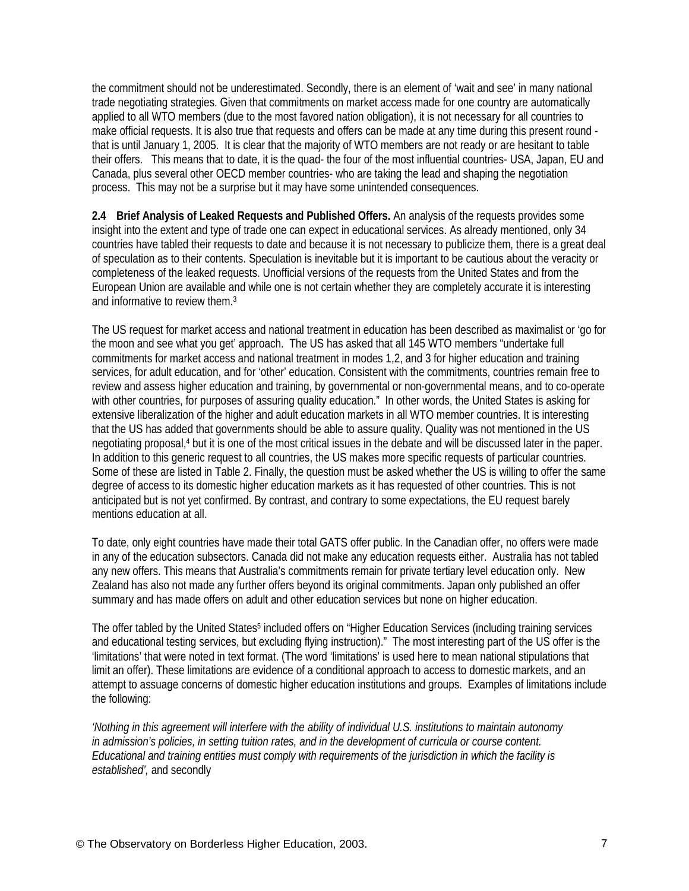the commitment should not be underestimated. Secondly, there is an element of 'wait and see' in many national trade negotiating strategies. Given that commitments on market access made for one country are automatically applied to all WTO members (due to the most favored nation obligation), it is not necessary for all countries to make official requests. It is also true that requests and offers can be made at any time during this present round that is until January 1, 2005. It is clear that the majority of WTO members are not ready or are hesitant to table their offers. This means that to date, it is the quad- the four of the most influential countries- USA, Japan, EU and Canada, plus several other OECD member countries- who are taking the lead and shaping the negotiation process. This may not be a surprise but it may have some unintended consequences.

**2.4 Brief Analysis of Leaked Requests and Published Offers.** An analysis of the requests provides some insight into the extent and type of trade one can expect in educational services. As already mentioned, only 34 countries have tabled their requests to date and because it is not necessary to publicize them, there is a great deal of speculation as to their contents. Speculation is inevitable but it is important to be cautious about the veracity or completeness of the leaked requests. Unofficial versions of the requests from the United States and from the European Union are available [an](#page-29-0)d while one is not certain whether they are completely accurate it is interesting and informative to review them.3

The US request for market access and national treatment in education has been described as maximalist or 'go for the moon and see what you get' approach. The US has asked that all 145 WTO members "undertake full commitments for market access and national treatment in modes 1,2, and 3 for higher education and training services, for adult education, and for 'other' education. Consistent with the commitments, countries remain free to review and assess higher education and training, by governmental or non-governmental means, and to co-operate with other countries, for purposes of assuring quality education." In other words, the United States is asking for extensive liberalization of the higher and adult education markets in all WTO member countries. It is interesting that the US has added that governments should be able to assure quality. Quality was not mentioned in the US negotiating proposal,<sup>4</sup> but it is one of the most critical issues in the debate and will be discussed later in the paper. In addition to this generic request to all countries, the US makes more specific requests of particular countries. Some of these are listed in Table 2. Finally, the question must be asked whether the US is willing to offer the same degree of access to its domestic higher education markets as it has requested of other countries. This is not anticipated but is not yet confirmed. By contrast, and contrary to some expectations, the EU request barely mentions education at all.

To date, only eight countries have made their total GATS offer public. In the Canadian offer, no offers were made in any of the education subsectors. Canada did not make any education requests either. Australia has not tabled any new offers. This means that Australia's commitments remain for private tertiary level education only. New Zealand has also not made any further offers beyond its original commitments. Japan only published an offer summary and has made offers on adult and other education services but none on higher education.

The offer tabled by the United States<sup>5</sup> included offers on "Higher Education Services (including training services and educational testing services, but excluding flying instruction)." The most interesting part of the US offer is the 'limitations' that were noted in text format. (The word 'limitations' is used here to mean national stipulations that limit an offer). These limitations are evidence of a conditional approach to access to domestic markets, and an attempt to assuage concerns of domestic higher education institutions and groups. Examples of limitations include the following:

*'Nothing in this agreement will interfere with the ability of individual U.S. institutions to maintain autonomy in admission's policies, in setting tuition rates, and in the development of curricula or course content. Educational and training entities must comply with requirements of the jurisdiction in which the facility is established',* and secondly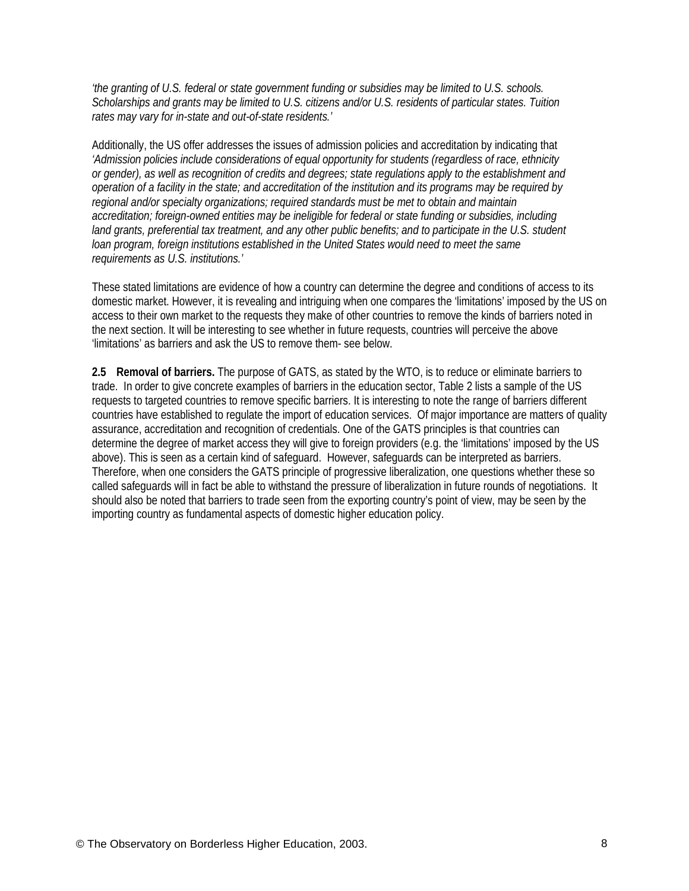*'the granting of U.S. federal or state government funding or subsidies may be limited to U.S. schools. Scholarships and grants may be limited to U.S. citizens and/or U.S. residents of particular states. Tuition rates may vary for in-state and out-of-state residents.'*

Additionally, the US offer addresses the issues of admission policies and accreditation by indicating that *'Admission policies include considerations of equal opportunity for students (regardless of race, ethnicity or gender), as well as recognition of credits and degrees; state regulations apply to the establishment and operation of a facility in the state; and accreditation of the institution and its programs may be required by regional and/or specialty organizations; required standards must be met to obtain and maintain accreditation; foreign-owned entities may be ineligible for federal or state funding or subsidies, including land grants, preferential tax treatment, and any other public benefits; and to participate in the U.S. student loan program, foreign institutions established in the United States would need to meet the same requirements as U.S. institutions.'*

These stated limitations are evidence of how a country can determine the degree and conditions of access to its domestic market. However, it is revealing and intriguing when one compares the 'limitations' imposed by the US on access to their own market to the requests they make of other countries to remove the kinds of barriers noted in the next section. It will be interesting to see whether in future requests, countries will perceive the above 'limitations' as barriers and ask the US to remove them- see below.

**2.5 Removal of barriers.** The purpose of GATS, as stated by the WTO, is to reduce or eliminate barriers to trade. In order to give concrete examples of barriers in the education sector, Table 2 lists a sample of the US requests to targeted countries to remove specific barriers. It is interesting to note the range of barriers different countries have established to regulate the import of education services. Of major importance are matters of quality assurance, accreditation and recognition of credentials. One of the GATS principles is that countries can determine the degree of market access they will give to foreign providers (e.g. the 'limitations' imposed by the US above). This is seen as a certain kind of safeguard. However, safeguards can be interpreted as barriers. Therefore, when one considers the GATS principle of progressive liberalization, one questions whether these so called safeguards will in fact be able to withstand the pressure of liberalization in future rounds of negotiations. It should also be noted that barriers to trade seen from the exporting country's point of view, may be seen by the importing country as fundamental aspects of domestic higher education policy.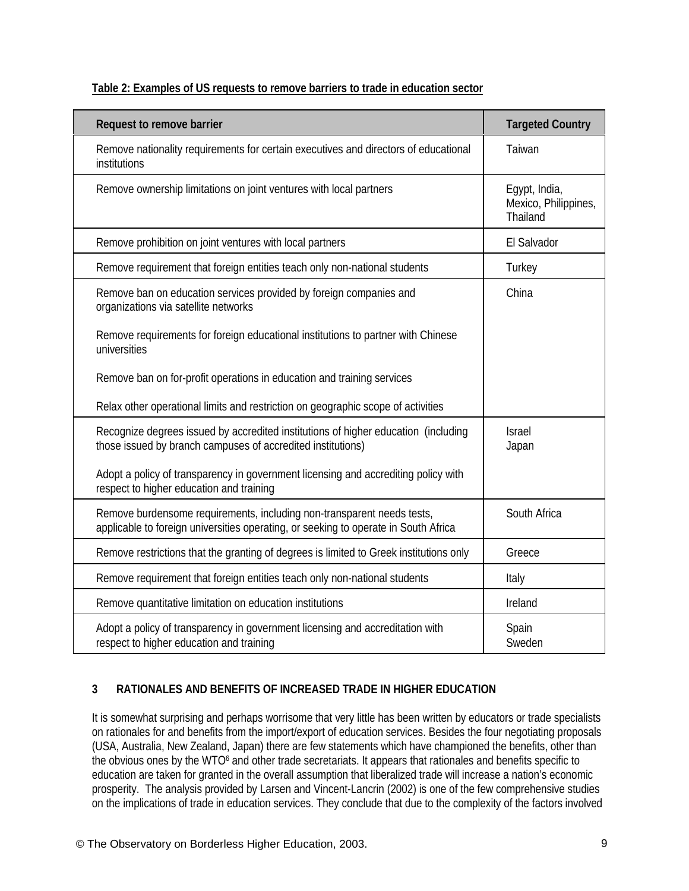| <b>Request to remove barrier</b>                                                                                                                              | <b>Targeted Country</b>                                  |
|---------------------------------------------------------------------------------------------------------------------------------------------------------------|----------------------------------------------------------|
| Remove nationality requirements for certain executives and directors of educational<br>institutions                                                           | Taiwan                                                   |
| Remove ownership limitations on joint ventures with local partners                                                                                            | Egypt, India,<br>Mexico, Philippines,<br><b>Thailand</b> |
| Remove prohibition on joint ventures with local partners                                                                                                      | El Salvador                                              |
| Remove requirement that foreign entities teach only non-national students                                                                                     | Turkey                                                   |
| Remove ban on education services provided by foreign companies and<br>organizations via satellite networks                                                    | China                                                    |
| Remove requirements for foreign educational institutions to partner with Chinese<br>universities                                                              |                                                          |
| Remove ban on for-profit operations in education and training services                                                                                        |                                                          |
| Relax other operational limits and restriction on geographic scope of activities                                                                              |                                                          |
| Recognize degrees issued by accredited institutions of higher education (including<br>those issued by branch campuses of accredited institutions)             | <b>Israel</b><br>Japan                                   |
| Adopt a policy of transparency in government licensing and accrediting policy with<br>respect to higher education and training                                |                                                          |
| Remove burdensome requirements, including non-transparent needs tests,<br>applicable to foreign universities operating, or seeking to operate in South Africa | South Africa                                             |
| Remove restrictions that the granting of degrees is limited to Greek institutions only                                                                        | Greece                                                   |
| Remove requirement that foreign entities teach only non-national students                                                                                     | Italy                                                    |
| Remove quantitative limitation on education institutions                                                                                                      | Ireland                                                  |
| Adopt a policy of transparency in government licensing and accreditation with<br>respect to higher education and training                                     | Spain<br>Sweden                                          |

# **3 RATIONALES AND BENEFITS OF INCREASED TRADE IN HIGHER EDUCATION**

It is somewhat surprising and perhaps worrisome that very little has been written by educators or trade specialists on rationales for and benefits from the import/export of education services. Besides the four negotiating proposals (USA, Australia, New Zealand, Japan) there are few statements which have championed the benefits, other than the obvious ones by the WTO<sup>6</sup> and other trade secretariats. It appears that rationales and benefits specific to education are taken for granted in the overall assumption that liberalized trade will increase a nation's economic prosperity. The analysis provided by Larsen and Vincent-Lancrin (2002) is one of the few comprehensive studies on the implications of trade in education services. They conclude that due to the complexity of the factors involved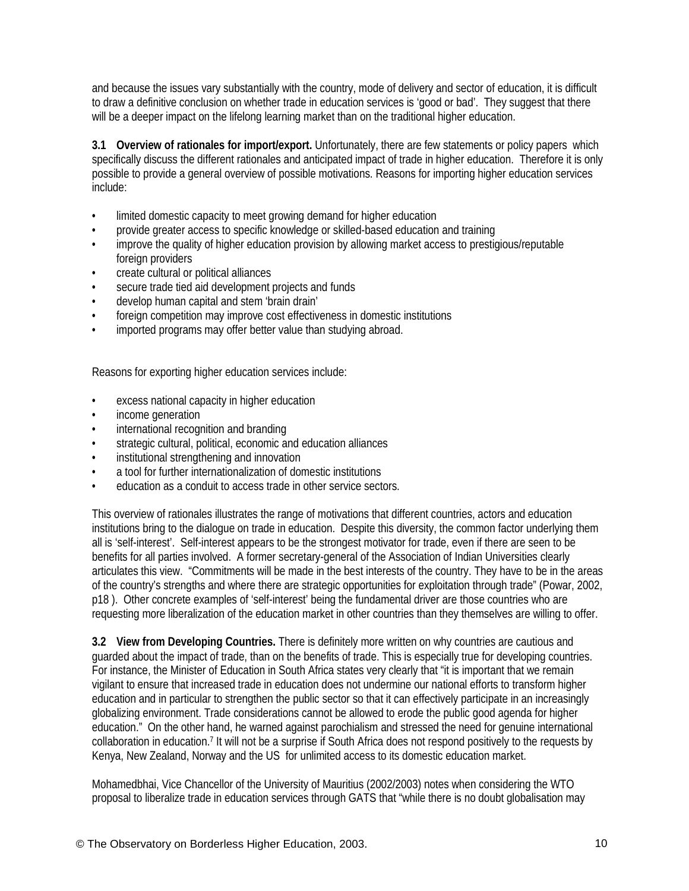and because the issues vary substantially with the country, mode of delivery and sector of education, it is difficult to draw a definitive conclusion on whether trade in education services is 'good or bad'. They suggest that there will be a deeper impact on the lifelong learning market than on the traditional higher education.

**3.1 Overview of rationales for import/export.** Unfortunately, there are few statements or policy papers which specifically discuss the different rationales and anticipated impact of trade in higher education. Therefore it is only possible to provide a general overview of possible motivations. Reasons for importing higher education services include:

- limited domestic capacity to meet growing demand for higher education
- provide greater access to specific knowledge or skilled-based education and training
- improve the quality of higher education provision by allowing market access to prestigious/reputable foreign providers
- create cultural or political alliances
- secure trade tied aid development projects and funds
- develop human capital and stem 'brain drain'
- foreign competition may improve cost effectiveness in domestic institutions
- imported programs may offer better value than studying abroad.

Reasons for exporting higher education services include:

- excess national capacity in higher education
- income generation
- international recognition and branding
- strategic cultural, political, economic and education alliances
- institutional strengthening and innovation
- a tool for further internationalization of domestic institutions
- education as a conduit to access trade in other service sectors.

This overview of rationales illustrates the range of motivations that different countries, actors and education institutions bring to the dialogue on trade in education. Despite this diversity, the common factor underlying them all is 'self-interest'. Self-interest appears to be the strongest motivator for trade, even if there are seen to be benefits for all parties involved. A former secretary-general of the Association of Indian Universities clearly articulates this view. "Commitments will be made in the best interests of the country. They have to be in the areas of the country's strengths and where there are strategic opportunities for exploitation through trade" (Powar, 2002, p18 ). Other concrete examples of 'self-interest' being the fundamental driver are those countries who are requesting more liberalization of the education market in other countries than they themselves are willing to offer.

**3.2 View from Developing Countries.** There is definitely more written on why countries are cautious and guarded about the impact of trade, than on the benefits of trade. This is especially true for developing countries. For instance, the Minister of Education in South Africa states very clearly that "it is important that we remain vigilant to ensure that increased trade in education does not undermine our national efforts to transform higher education and in particular to strengthen the public sector so that it can effectively participate in an increasingly globalizing environment. Trade considerations cannot be allowed to erode the public good agenda for higher education." On the other [ha](#page-29-0)nd, he warned against parochialism and stressed the need for genuine international collaboration in education.7 It will not be a surprise if South Africa does not respond positively to the requests by Kenya, New Zealand, Norway and the US for unlimited access to its domestic education market.

Mohamedbhai, Vice Chancellor of the University of Mauritius (2002/2003) notes when considering the WTO proposal to liberalize trade in education services through GATS that "while there is no doubt globalisation may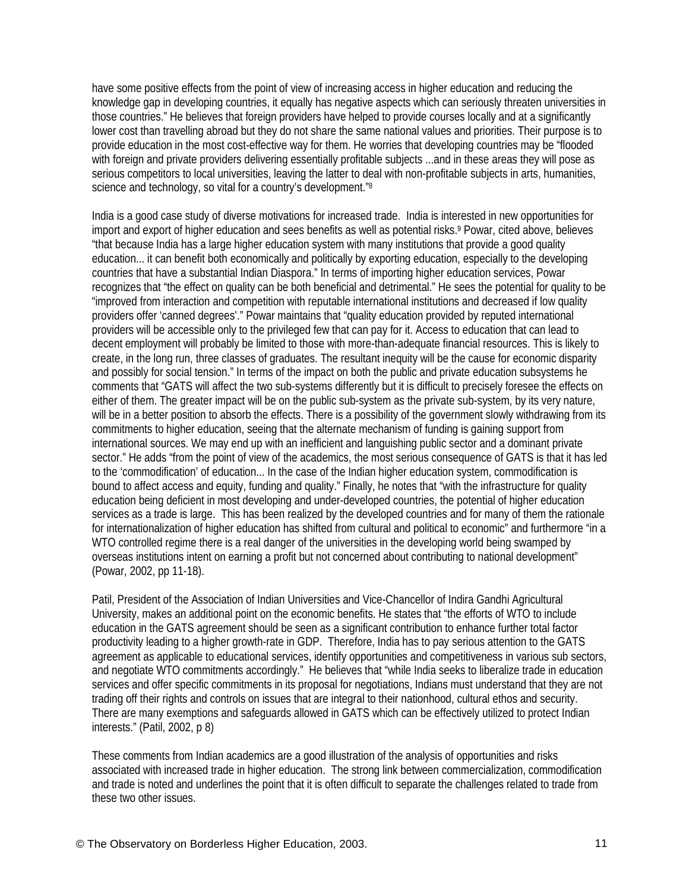have some positive effects from the point of view of increasing access in higher education and reducing the knowledge gap in developing countries, it equally has negative aspects which can seriously threaten universities in those countries." He believes that foreign providers have helped to provide courses locally and at a significantly lower cost than travelling abroad but they do not share the same national values and priorities. Their purpose is to provide education in the most cost-effective way for them. He worries that developing countries may be "flooded with foreign and private providers delivering essentially profitable subjects ...and in these areas they will pose as serious competitors to local universities, leaving the latter to d[ea](#page-29-0)l with non-profitable subjects in arts, humanities, science and technology, so vital for a country's development."<sup>8</sup>

India is a good case study of diverse motivations for increased trade. India is interested in new opportunities for import and export of higher education and sees benefits as well as potential risks.<sup>9</sup> Powar, cited above, believes "that because India has a large higher education system with many institutions that provide a good quality education... it can benefit both economically and politically by exporting education, especially to the developing countries that have a substantial Indian Diaspora." In terms of importing higher education services, Powar recognizes that "the effect on quality can be both beneficial and detrimental." He sees the potential for quality to be "improved from interaction and competition with reputable international institutions and decreased if low quality providers offer 'canned degrees'." Powar maintains that "quality education provided by reputed international providers will be accessible only to the privileged few that can pay for it. Access to education that can lead to decent employment will probably be limited to those with more-than-adequate financial resources. This is likely to create, in the long run, three classes of graduates. The resultant inequity will be the cause for economic disparity and possibly for social tension." In terms of the impact on both the public and private education subsystems he comments that "GATS will affect the two sub-systems differently but it is difficult to precisely foresee the effects on either of them. The greater impact will be on the public sub-system as the private sub-system, by its very nature, will be in a better position to absorb the effects. There is a possibility of the government slowly withdrawing from its commitments to higher education, seeing that the alternate mechanism of funding is gaining support from international sources. We may end up with an inefficient and languishing public sector and a dominant private sector." He adds "from the point of view of the academics, the most serious consequence of GATS is that it has led to the 'commodification' of education... In the case of the Indian higher education system, commodification is bound to affect access and equity, funding and quality." Finally, he notes that "with the infrastructure for quality education being deficient in most developing and under-developed countries, the potential of higher education services as a trade is large. This has been realized by the developed countries and for many of them the rationale for internationalization of higher education has shifted from cultural and political to economic" and furthermore "in a WTO controlled regime there is a real danger of the universities in the developing world being swamped by overseas institutions intent on earning a profit but not concerned about contributing to national development" (Powar, 2002, pp 11-18).

Patil, President of the Association of Indian Universities and Vice-Chancellor of Indira Gandhi Agricultural University, makes an additional point on the economic benefits. He states that "the efforts of WTO to include education in the GATS agreement should be seen as a significant contribution to enhance further total factor productivity leading to a higher growth-rate in GDP. Therefore, India has to pay serious attention to the GATS agreement as applicable to educational services, identify opportunities and competitiveness in various sub sectors, and negotiate WTO commitments accordingly." He believes that "while India seeks to liberalize trade in education services and offer specific commitments in its proposal for negotiations, Indians must understand that they are not trading off their rights and controls on issues that are integral to their nationhood, cultural ethos and security. There are many exemptions and safeguards allowed in GATS which can be effectively utilized to protect Indian interests." (Patil, 2002, p 8)

These comments from Indian academics are a good illustration of the analysis of opportunities and risks associated with increased trade in higher education. The strong link between commercialization, commodification and trade is noted and underlines the point that it is often difficult to separate the challenges related to trade from these two other issues.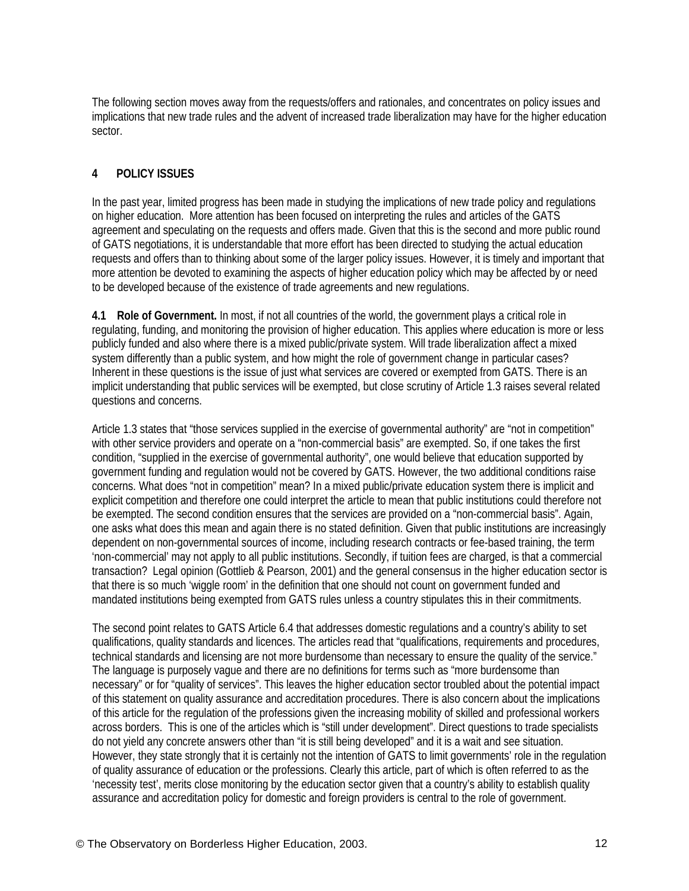The following section moves away from the requests/offers and rationales, and concentrates on policy issues and implications that new trade rules and the advent of increased trade liberalization may have for the higher education sector.

# **4 POLICY ISSUES**

In the past year, limited progress has been made in studying the implications of new trade policy and regulations on higher education. More attention has been focused on interpreting the rules and articles of the GATS agreement and speculating on the requests and offers made. Given that this is the second and more public round of GATS negotiations, it is understandable that more effort has been directed to studying the actual education requests and offers than to thinking about some of the larger policy issues. However, it is timely and important that more attention be devoted to examining the aspects of higher education policy which may be affected by or need to be developed because of the existence of trade agreements and new regulations.

**4.1 Role of Government.** In most, if not all countries of the world, the government plays a critical role in regulating, funding, and monitoring the provision of higher education. This applies where education is more or less publicly funded and also where there is a mixed public/private system. Will trade liberalization affect a mixed system differently than a public system, and how might the role of government change in particular cases? Inherent in these questions is the issue of just what services are covered or exempted from GATS. There is an implicit understanding that public services will be exempted, but close scrutiny of Article 1.3 raises several related questions and concerns.

Article 1.3 states that "those services supplied in the exercise of governmental authority" are "not in competition" with other service providers and operate on a "non-commercial basis" are exempted. So, if one takes the first condition, "supplied in the exercise of governmental authority", one would believe that education supported by government funding and regulation would not be covered by GATS. However, the two additional conditions raise concerns. What does "not in competition" mean? In a mixed public/private education system there is implicit and explicit competition and therefore one could interpret the article to mean that public institutions could therefore not be exempted. The second condition ensures that the services are provided on a "non-commercial basis". Again, one asks what does this mean and again there is no stated definition. Given that public institutions are increasingly dependent on non-governmental sources of income, including research contracts or fee-based training, the term 'non-commercial' may not apply to all public institutions. Secondly, if tuition fees are charged, is that a commercial transaction? Legal opinion (Gottlieb & Pearson, 2001) and the general consensus in the higher education sector is that there is so much 'wiggle room' in the definition that one should not count on government funded and mandated institutions being exempted from GATS rules unless a country stipulates this in their commitments.

The second point relates to GATS Article 6.4 that addresses domestic regulations and a country's ability to set qualifications, quality standards and licences. The articles read that "qualifications, requirements and procedures, technical standards and licensing are not more burdensome than necessary to ensure the quality of the service." The language is purposely vague and there are no definitions for terms such as "more burdensome than necessary" or for "quality of services". This leaves the higher education sector troubled about the potential impact of this statement on quality assurance and accreditation procedures. There is also concern about the implications of this article for the regulation of the professions given the increasing mobility of skilled and professional workers across borders. This is one of the articles which is "still under development". Direct questions to trade specialists do not yield any concrete answers other than "it is still being developed" and it is a wait and see situation. However, they state strongly that it is certainly not the intention of GATS to limit governments' role in the regulation of quality assurance of education or the professions. Clearly this article, part of which is often referred to as the 'necessity test', merits close monitoring by the education sector given that a country's ability to establish quality assurance and accreditation policy for domestic and foreign providers is central to the role of government.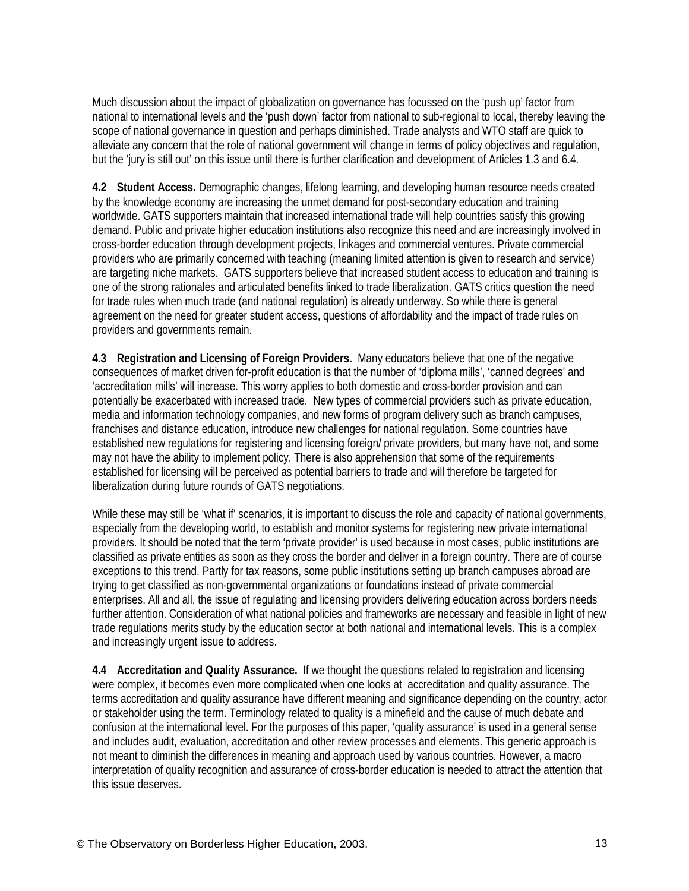Much discussion about the impact of globalization on governance has focussed on the 'push up' factor from national to international levels and the 'push down' factor from national to sub-regional to local, thereby leaving the scope of national governance in question and perhaps diminished. Trade analysts and WTO staff are quick to alleviate any concern that the role of national government will change in terms of policy objectives and regulation, but the 'jury is still out' on this issue until there is further clarification and development of Articles 1.3 and 6.4.

**4.2 Student Access.** Demographic changes, lifelong learning, and developing human resource needs created by the knowledge economy are increasing the unmet demand for post-secondary education and training worldwide. GATS supporters maintain that increased international trade will help countries satisfy this growing demand. Public and private higher education institutions also recognize this need and are increasingly involved in cross-border education through development projects, linkages and commercial ventures. Private commercial providers who are primarily concerned with teaching (meaning limited attention is given to research and service) are targeting niche markets. GATS supporters believe that increased student access to education and training is one of the strong rationales and articulated benefits linked to trade liberalization. GATS critics question the need for trade rules when much trade (and national regulation) is already underway. So while there is general agreement on the need for greater student access, questions of affordability and the impact of trade rules on providers and governments remain.

**4.3 Registration and Licensing of Foreign Providers.** Many educators believe that one of the negative consequences of market driven for-profit education is that the number of 'diploma mills', 'canned degrees' and 'accreditation mills' will increase. This worry applies to both domestic and cross-border provision and can potentially be exacerbated with increased trade. New types of commercial providers such as private education, media and information technology companies, and new forms of program delivery such as branch campuses, franchises and distance education, introduce new challenges for national regulation. Some countries have established new regulations for registering and licensing foreign/ private providers, but many have not, and some may not have the ability to implement policy. There is also apprehension that some of the requirements established for licensing will be perceived as potential barriers to trade and will therefore be targeted for liberalization during future rounds of GATS negotiations.

While these may still be 'what if' scenarios, it is important to discuss the role and capacity of national governments, especially from the developing world, to establish and monitor systems for registering new private international providers. It should be noted that the term 'private provider' is used because in most cases, public institutions are classified as private entities as soon as they cross the border and deliver in a foreign country. There are of course exceptions to this trend. Partly for tax reasons, some public institutions setting up branch campuses abroad are trying to get classified as non-governmental organizations or foundations instead of private commercial enterprises. All and all, the issue of regulating and licensing providers delivering education across borders needs further attention. Consideration of what national policies and frameworks are necessary and feasible in light of new trade regulations merits study by the education sector at both national and international levels. This is a complex and increasingly urgent issue to address.

**4.4 Accreditation and Quality Assurance.** If we thought the questions related to registration and licensing were complex, it becomes even more complicated when one looks at accreditation and quality assurance. The terms accreditation and quality assurance have different meaning and significance depending on the country, actor or stakeholder using the term. Terminology related to quality is a minefield and the cause of much debate and confusion at the international level. For the purposes of this paper, 'quality assurance' is used in a general sense and includes audit, evaluation, accreditation and other review processes and elements. This generic approach is not meant to diminish the differences in meaning and approach used by various countries. However, a macro interpretation of quality recognition and assurance of cross-border education is needed to attract the attention that this issue deserves.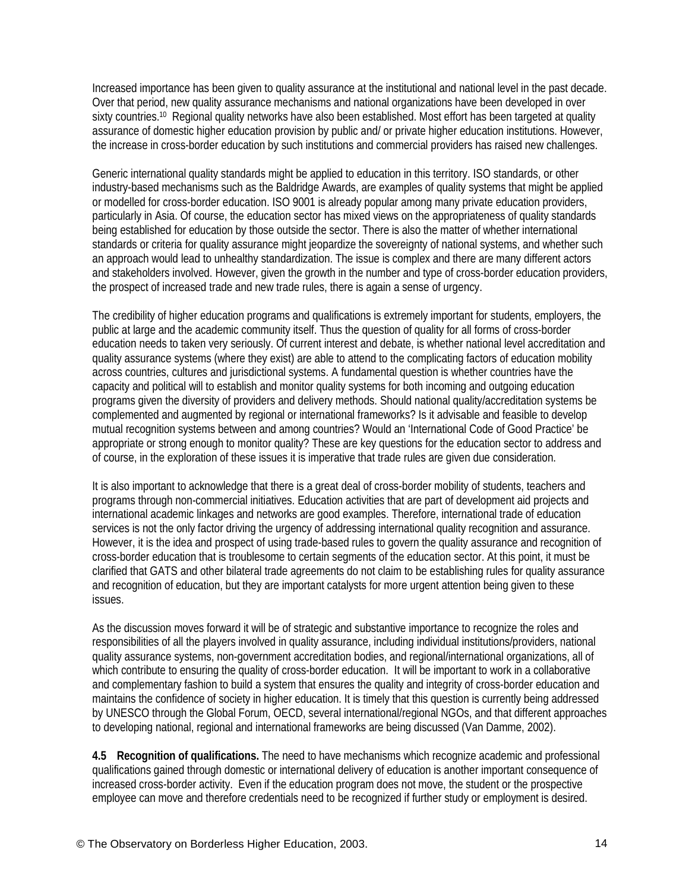Increased importance has been given to quality assurance at the institutional and national level in the past decade. Over that period, new quality assurance mechanisms and national organizations have been developed in over sixty countries.<sup>10</sup> Regional quality networks have also been established. Most effort has been targeted at quality assurance of domestic higher education provision by public and/ or private higher education institutions. However, the increase in cross-border education by such institutions and commercial providers has raised new challenges.

Generic international quality standards might be applied to education in this territory. ISO standards, or other industry-based mechanisms such as the Baldridge Awards, are examples of quality systems that might be applied or modelled for cross-border education. ISO 9001 is already popular among many private education providers, particularly in Asia. Of course, the education sector has mixed views on the appropriateness of quality standards being established for education by those outside the sector. There is also the matter of whether international standards or criteria for quality assurance might jeopardize the sovereignty of national systems, and whether such an approach would lead to unhealthy standardization. The issue is complex and there are many different actors and stakeholders involved. However, given the growth in the number and type of cross-border education providers, the prospect of increased trade and new trade rules, there is again a sense of urgency.

The credibility of higher education programs and qualifications is extremely important for students, employers, the public at large and the academic community itself. Thus the question of quality for all forms of cross-border education needs to taken very seriously. Of current interest and debate, is whether national level accreditation and quality assurance systems (where they exist) are able to attend to the complicating factors of education mobility across countries, cultures and jurisdictional systems. A fundamental question is whether countries have the capacity and political will to establish and monitor quality systems for both incoming and outgoing education programs given the diversity of providers and delivery methods. Should national quality/accreditation systems be complemented and augmented by regional or international frameworks? Is it advisable and feasible to develop mutual recognition systems between and among countries? Would an 'International Code of Good Practice' be appropriate or strong enough to monitor quality? These are key questions for the education sector to address and of course, in the exploration of these issues it is imperative that trade rules are given due consideration.

It is also important to acknowledge that there is a great deal of cross-border mobility of students, teachers and programs through non-commercial initiatives. Education activities that are part of development aid projects and international academic linkages and networks are good examples. Therefore, international trade of education services is not the only factor driving the urgency of addressing international quality recognition and assurance. However, it is the idea and prospect of using trade-based rules to govern the quality assurance and recognition of cross-border education that is troublesome to certain segments of the education sector. At this point, it must be clarified that GATS and other bilateral trade agreements do not claim to be establishing rules for quality assurance and recognition of education, but they are important catalysts for more urgent attention being given to these issues.

As the discussion moves forward it will be of strategic and substantive importance to recognize the roles and responsibilities of all the players involved in quality assurance, including individual institutions/providers, national quality assurance systems, non-government accreditation bodies, and regional/international organizations, all of which contribute to ensuring the quality of cross-border education. It will be important to work in a collaborative and complementary fashion to build a system that ensures the quality and integrity of cross-border education and maintains the confidence of society in higher education. It is timely that this question is currently being addressed by UNESCO through the Global Forum, OECD, several international/regional NGOs, and that different approaches to developing national, regional and international frameworks are being discussed (Van Damme, 2002).

**4.5 Recognition of qualifications.** The need to have mechanisms which recognize academic and professional qualifications gained through domestic or international delivery of education is another important consequence of increased cross-border activity. Even if the education program does not move, the student or the prospective employee can move and therefore credentials need to be recognized if further study or employment is desired.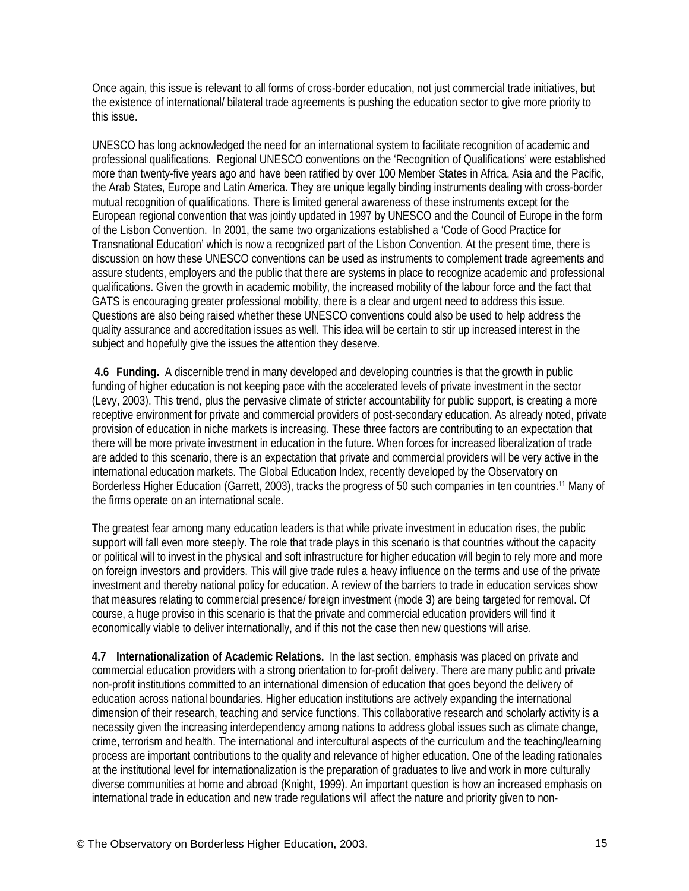Once again, this issue is relevant to all forms of cross-border education, not just commercial trade initiatives, but the existence of international/ bilateral trade agreements is pushing the education sector to give more priority to this issue.

UNESCO has long acknowledged the need for an international system to facilitate recognition of academic and professional qualifications. Regional UNESCO conventions on the 'Recognition of Qualifications' were established more than twenty-five years ago and have been ratified by over 100 Member States in Africa, Asia and the Pacific, the Arab States, Europe and Latin America. They are unique legally binding instruments dealing with cross-border mutual recognition of qualifications. There is limited general awareness of these instruments except for the European regional convention that was jointly updated in 1997 by UNESCO and the Council of Europe in the form of the Lisbon Convention. In 2001, the same two organizations established a 'Code of Good Practice for Transnational Education' which is now a recognized part of the Lisbon Convention. At the present time, there is discussion on how these UNESCO conventions can be used as instruments to complement trade agreements and assure students, employers and the public that there are systems in place to recognize academic and professional qualifications. Given the growth in academic mobility, the increased mobility of the labour force and the fact that GATS is encouraging greater professional mobility, there is a clear and urgent need to address this issue. Questions are also being raised whether these UNESCO conventions could also be used to help address the quality assurance and accreditation issues as well. This idea will be certain to stir up increased interest in the subject and hopefully give the issues the attention they deserve.

 **4.6 Funding.** A discernible trend in many developed and developing countries is that the growth in public funding of higher education is not keeping pace with the accelerated levels of private investment in the sector (Levy, 2003). This trend, plus the pervasive climate of stricter accountability for public support, is creating a more receptive environment for private and commercial providers of post-secondary education. As already noted, private provision of education in niche markets is increasing. These three factors are contributing to an expectation that there will be more private investment in education in the future. When forces for increased liberalization of trade are added to this scenario, there is an expectation that private and commercial providers will be very active in the international education markets. The Global Education Index, recently developed by the Observatory on Borderless Higher Education (Garrett, 2003), tracks the progress of 50 such companies in ten countries.[11 M](#page-29-0)any of the firms operate on an international scale.

The greatest fear among many education leaders is that while private investment in education rises, the public support will fall even more steeply. The role that trade plays in this scenario is that countries without the capacity or political will to invest in the physical and soft infrastructure for higher education will begin to rely more and more on foreign investors and providers. This will give trade rules a heavy influence on the terms and use of the private investment and thereby national policy for education. A review of the barriers to trade in education services show that measures relating to commercial presence/ foreign investment (mode 3) are being targeted for removal. Of course, a huge proviso in this scenario is that the private and commercial education providers will find it economically viable to deliver internationally, and if this not the case then new questions will arise.

**4.7 Internationalization of Academic Relations.** In the last section, emphasis was placed on private and commercial education providers with a strong orientation to for-profit delivery. There are many public and private non-profit institutions committed to an international dimension of education that goes beyond the delivery of education across national boundaries. Higher education institutions are actively expanding the international dimension of their research, teaching and service functions. This collaborative research and scholarly activity is a necessity given the increasing interdependency among nations to address global issues such as climate change, crime, terrorism and health. The international and intercultural aspects of the curriculum and the teaching/learning process are important contributions to the quality and relevance of higher education. One of the leading rationales at the institutional level for internationalization is the preparation of graduates to live and work in more culturally diverse communities at home and abroad (Knight, 1999). An important question is how an increased emphasis on international trade in education and new trade regulations will affect the nature and priority given to non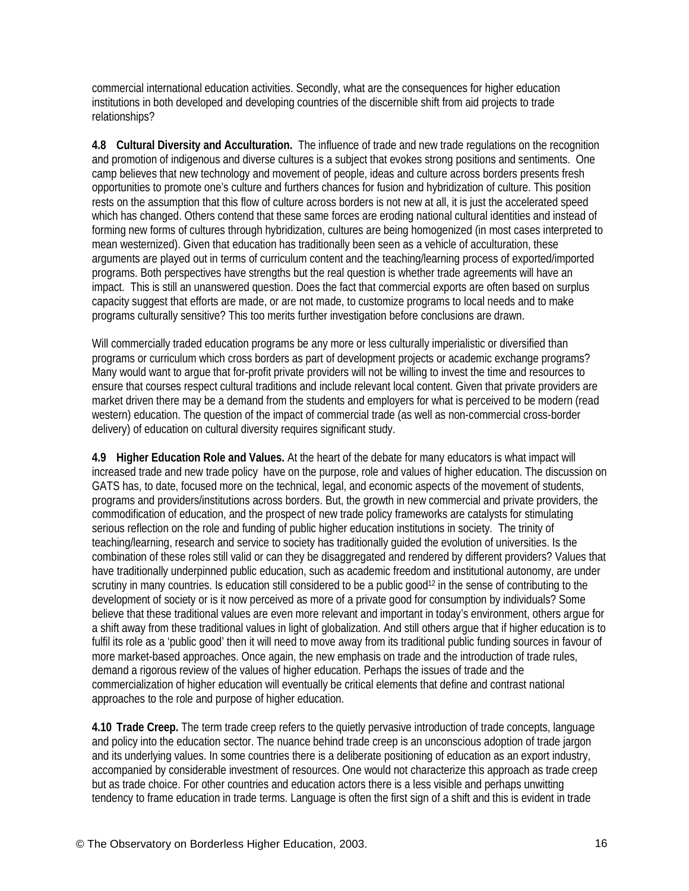commercial international education activities. Secondly, what are the consequences for higher education institutions in both developed and developing countries of the discernible shift from aid projects to trade relationships?

**4.8 Cultural Diversity and Acculturation.** The influence of trade and new trade regulations on the recognition and promotion of indigenous and diverse cultures is a subject that evokes strong positions and sentiments. One camp believes that new technology and movement of people, ideas and culture across borders presents fresh opportunities to promote one's culture and furthers chances for fusion and hybridization of culture. This position rests on the assumption that this flow of culture across borders is not new at all, it is just the accelerated speed which has changed. Others contend that these same forces are eroding national cultural identities and instead of forming new forms of cultures through hybridization, cultures are being homogenized (in most cases interpreted to mean westernized). Given that education has traditionally been seen as a vehicle of acculturation, these arguments are played out in terms of curriculum content and the teaching/learning process of exported/imported programs. Both perspectives have strengths but the real question is whether trade agreements will have an impact. This is still an unanswered question. Does the fact that commercial exports are often based on surplus capacity suggest that efforts are made, or are not made, to customize programs to local needs and to make programs culturally sensitive? This too merits further investigation before conclusions are drawn.

Will commercially traded education programs be any more or less culturally imperialistic or diversified than programs or curriculum which cross borders as part of development projects or academic exchange programs? Many would want to argue that for-profit private providers will not be willing to invest the time and resources to ensure that courses respect cultural traditions and include relevant local content. Given that private providers are market driven there may be a demand from the students and employers for what is perceived to be modern (read western) education. The question of the impact of commercial trade (as well as non-commercial cross-border delivery) of education on cultural diversity requires significant study.

**4.9 Higher Education Role and Values.** At the heart of the debate for many educators is what impact will increased trade and new trade policy have on the purpose, role and values of higher education. The discussion on GATS has, to date, focused more on the technical, legal, and economic aspects of the movement of students, programs and providers/institutions across borders. But, the growth in new commercial and private providers, the commodification of education, and the prospect of new trade policy frameworks are catalysts for stimulating serious reflection on the role and funding of public higher education institutions in society. The trinity of teaching/learning, research and service to society has traditionally guided the evolution of universities. Is the combination of these roles still valid or can they be disaggregated and rendered by different providers? Values that have traditionally underpinned public education, such as academic freedom and institutional autonomy, are under scrutiny in many countries. Is education still considered to be a public good<sup>12</sup> in the sense of contributing to the development of society or is it now perceived as more of a private good for consumption by individuals? Some believe that these traditional values are even more relevant and important in today's environment, others argue for a shift away from these traditional values in light of globalization. And still others argue that if higher education is to fulfil its role as a 'public good' then it will need to move away from its traditional public funding sources in favour of more market-based approaches. Once again, the new emphasis on trade and the introduction of trade rules, demand a rigorous review of the values of higher education. Perhaps the issues of trade and the commercialization of higher education will eventually be critical elements that define and contrast national approaches to the role and purpose of higher education.

**4.10 Trade Creep.** The term trade creep refers to the quietly pervasive introduction of trade concepts, language and policy into the education sector. The nuance behind trade creep is an unconscious adoption of trade jargon and its underlying values. In some countries there is a deliberate positioning of education as an export industry, accompanied by considerable investment of resources. One would not characterize this approach as trade creep but as trade choice. For other countries and education actors there is a less visible and perhaps unwitting tendency to frame education in trade terms. Language is often the first sign of a shift and this is evident in trade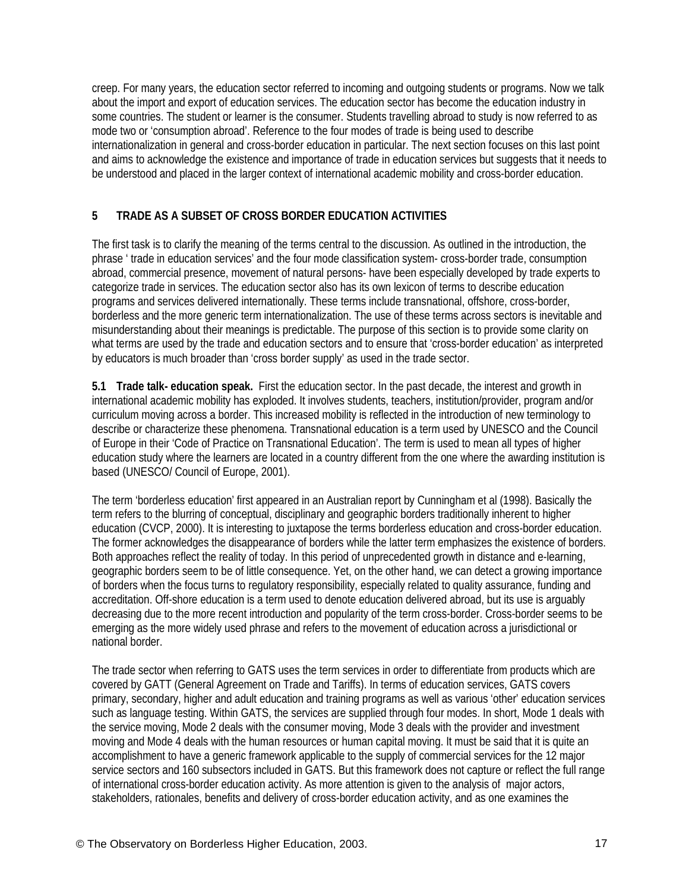creep. For many years, the education sector referred to incoming and outgoing students or programs. Now we talk about the import and export of education services. The education sector has become the education industry in some countries. The student or learner is the consumer. Students travelling abroad to study is now referred to as mode two or 'consumption abroad'. Reference to the four modes of trade is being used to describe internationalization in general and cross-border education in particular. The next section focuses on this last point and aims to acknowledge the existence and importance of trade in education services but suggests that it needs to be understood and placed in the larger context of international academic mobility and cross-border education.

# **5 TRADE AS A SUBSET OF CROSS BORDER EDUCATION ACTIVITIES**

The first task is to clarify the meaning of the terms central to the discussion. As outlined in the introduction, the phrase ' trade in education services' and the four mode classification system- cross-border trade, consumption abroad, commercial presence, movement of natural persons- have been especially developed by trade experts to categorize trade in services. The education sector also has its own lexicon of terms to describe education programs and services delivered internationally. These terms include transnational, offshore, cross-border, borderless and the more generic term internationalization. The use of these terms across sectors is inevitable and misunderstanding about their meanings is predictable. The purpose of this section is to provide some clarity on what terms are used by the trade and education sectors and to ensure that 'cross-border education' as interpreted by educators is much broader than 'cross border supply' as used in the trade sector.

**5.1 Trade talk- education speak.** First the education sector. In the past decade, the interest and growth in international academic mobility has exploded. It involves students, teachers, institution/provider, program and/or curriculum moving across a border. This increased mobility is reflected in the introduction of new terminology to describe or characterize these phenomena. Transnational education is a term used by UNESCO and the Council of Europe in their 'Code of Practice on Transnational Education'. The term is used to mean all types of higher education study where the learners are located in a country different from the one where the awarding institution is based (UNESCO/ Council of Europe, 2001).

The term 'borderless education' first appeared in an Australian report by Cunningham et al (1998). Basically the term refers to the blurring of conceptual, disciplinary and geographic borders traditionally inherent to higher education (CVCP, 2000). It is interesting to juxtapose the terms borderless education and cross-border education. The former acknowledges the disappearance of borders while the latter term emphasizes the existence of borders. Both approaches reflect the reality of today. In this period of unprecedented growth in distance and e-learning, geographic borders seem to be of little consequence. Yet, on the other hand, we can detect a growing importance of borders when the focus turns to regulatory responsibility, especially related to quality assurance, funding and accreditation. Off-shore education is a term used to denote education delivered abroad, but its use is arguably decreasing due to the more recent introduction and popularity of the term cross-border. Cross-border seems to be emerging as the more widely used phrase and refers to the movement of education across a jurisdictional or national border.

The trade sector when referring to GATS uses the term services in order to differentiate from products which are covered by GATT (General Agreement on Trade and Tariffs). In terms of education services, GATS covers primary, secondary, higher and adult education and training programs as well as various 'other' education services such as language testing. Within GATS, the services are supplied through four modes. In short, Mode 1 deals with the service moving, Mode 2 deals with the consumer moving, Mode 3 deals with the provider and investment moving and Mode 4 deals with the human resources or human capital moving. It must be said that it is quite an accomplishment to have a generic framework applicable to the supply of commercial services for the 12 major service sectors and 160 subsectors included in GATS. But this framework does not capture or reflect the full range of international cross-border education activity. As more attention is given to the analysis of major actors, stakeholders, rationales, benefits and delivery of cross-border education activity, and as one examines the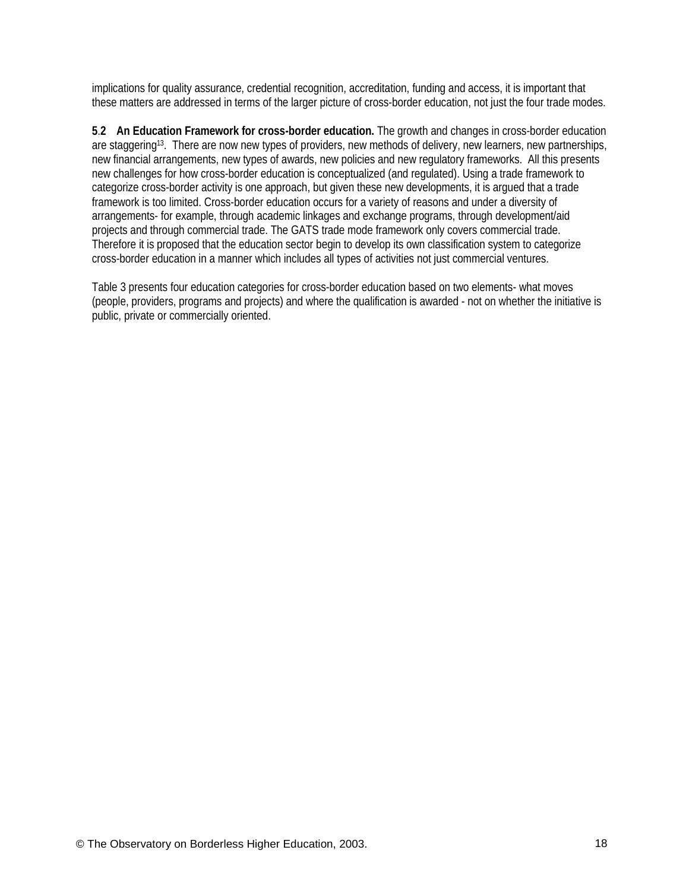implications for quality assurance, credential recognition, accreditation, funding and access, it is important that these matters are addressed in terms of the larger picture of cross-border education, not just the four trade modes.

**5**.**2 An Education Framework for cross-border education.** The growth and changes in cross-border education are staggering<sup>13</sup>. There are now new types of providers, new methods of delivery, new learners, new partnerships, new financial arrangements, new types of awards, new policies and new regulatory frameworks. All this presents new challenges for how cross-border education is conceptualized (and regulated). Using a trade framework to categorize cross-border activity is one approach, but given these new developments, it is argued that a trade framework is too limited. Cross-border education occurs for a variety of reasons and under a diversity of arrangements- for example, through academic linkages and exchange programs, through development/aid projects and through commercial trade. The GATS trade mode framework only covers commercial trade. Therefore it is proposed that the education sector begin to develop its own classification system to categorize cross-border education in a manner which includes all types of activities not just commercial ventures.

Table 3 presents four education categories for cross-border education based on two elements- what moves (people, providers, programs and projects) and where the qualification is awarded - not on whether the initiative is public, private or commercially oriented.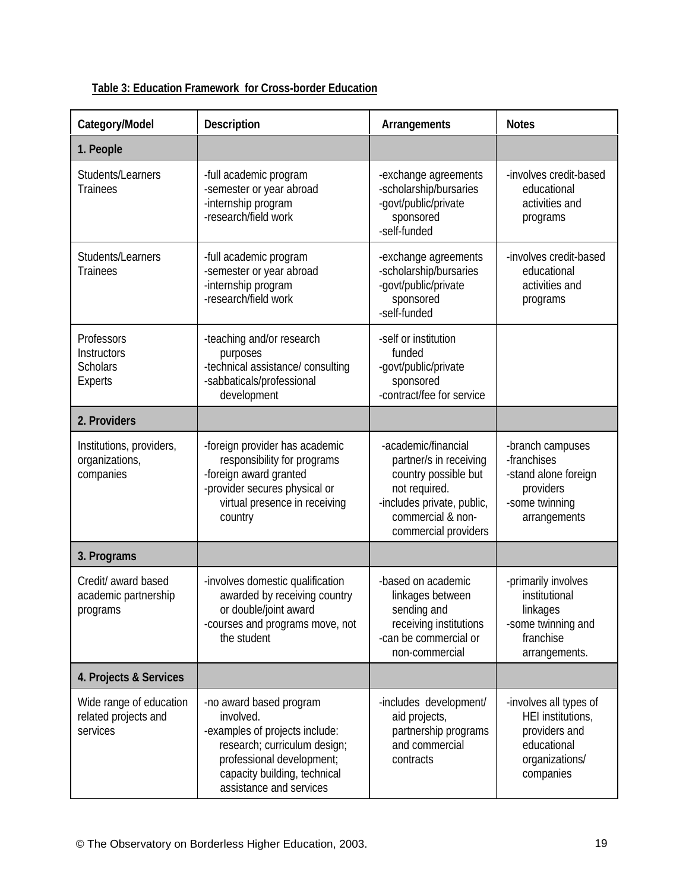| Category/Model                                                 | <b>Description</b>                                                                                                                                                                             | <b>Arrangements</b>                                                                                                                                               | <b>Notes</b>                                                                                               |
|----------------------------------------------------------------|------------------------------------------------------------------------------------------------------------------------------------------------------------------------------------------------|-------------------------------------------------------------------------------------------------------------------------------------------------------------------|------------------------------------------------------------------------------------------------------------|
| 1. People                                                      |                                                                                                                                                                                                |                                                                                                                                                                   |                                                                                                            |
| Students/Learners<br><b>Trainees</b>                           | -full academic program<br>-semester or year abroad<br>-internship program<br>-research/field work                                                                                              | -exchange agreements<br>-scholarship/bursaries<br>-govt/public/private<br>sponsored<br>-self-funded                                                               | -involves credit-based<br>educational<br>activities and<br>programs                                        |
| Students/Learners<br><b>Trainees</b>                           | -full academic program<br>-semester or year abroad<br>-internship program<br>-research/field work                                                                                              | -exchange agreements<br>-scholarship/bursaries<br>-govt/public/private<br>sponsored<br>-self-funded                                                               | -involves credit-based<br>educational<br>activities and<br>programs                                        |
| Professors<br>Instructors<br><b>Scholars</b><br><b>Experts</b> | -teaching and/or research<br>purposes<br>-technical assistance/ consulting<br>-sabbaticals/professional<br>development                                                                         | -self or institution<br>funded<br>-govt/public/private<br>sponsored<br>-contract/fee for service                                                                  |                                                                                                            |
| 2. Providers                                                   |                                                                                                                                                                                                |                                                                                                                                                                   |                                                                                                            |
| Institutions, providers,<br>organizations,<br>companies        | -foreign provider has academic<br>responsibility for programs<br>-foreign award granted<br>-provider secures physical or<br>virtual presence in receiving<br>country                           | -academic/financial<br>partner/s in receiving<br>country possible but<br>not required.<br>-includes private, public,<br>commercial & non-<br>commercial providers | -branch campuses<br>-franchises<br>-stand alone foreign<br>providers<br>-some twinning<br>arrangements     |
| 3. Programs                                                    |                                                                                                                                                                                                |                                                                                                                                                                   |                                                                                                            |
| Credit/ award based<br>academic partnership<br>programs        | -involves domestic qualification<br>awarded by receiving country<br>or double/joint award<br>-courses and programs move, not<br>the student                                                    | -based on academic<br>linkages between<br>sending and<br>receiving institutions<br>-can be commercial or<br>non-commercial                                        | -primarily involves<br>institutional<br>linkages<br>-some twinning and<br>franchise<br>arrangements.       |
| 4. Projects & Services                                         |                                                                                                                                                                                                |                                                                                                                                                                   |                                                                                                            |
| Wide range of education<br>related projects and<br>services    | -no award based program<br>involved.<br>-examples of projects include:<br>research; curriculum design;<br>professional development;<br>capacity building, technical<br>assistance and services | -includes development/<br>aid projects,<br>partnership programs<br>and commercial<br>contracts                                                                    | -involves all types of<br>HEI institutions,<br>providers and<br>educational<br>organizations/<br>companies |

# **Table 3: Education Framework for Cross-border Education**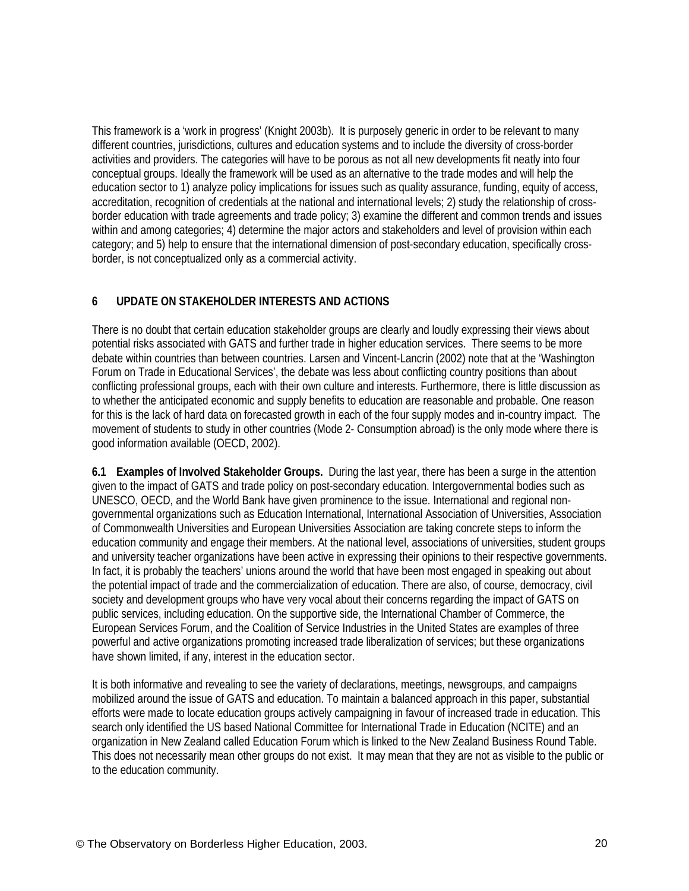This framework is a 'work in progress' (Knight 2003b). It is purposely generic in order to be relevant to many different countries, jurisdictions, cultures and education systems and to include the diversity of cross-border activities and providers. The categories will have to be porous as not all new developments fit neatly into four conceptual groups. Ideally the framework will be used as an alternative to the trade modes and will help the education sector to 1) analyze policy implications for issues such as quality assurance, funding, equity of access, accreditation, recognition of credentials at the national and international levels; 2) study the relationship of crossborder education with trade agreements and trade policy; 3) examine the different and common trends and issues within and among categories; 4) determine the major actors and stakeholders and level of provision within each category; and 5) help to ensure that the international dimension of post-secondary education, specifically crossborder, is not conceptualized only as a commercial activity.

# **6 UPDATE ON STAKEHOLDER INTERESTS AND ACTIONS**

There is no doubt that certain education stakeholder groups are clearly and loudly expressing their views about potential risks associated with GATS and further trade in higher education services. There seems to be more debate within countries than between countries. Larsen and Vincent-Lancrin (2002) note that at the 'Washington Forum on Trade in Educational Services', the debate was less about conflicting country positions than about conflicting professional groups, each with their own culture and interests. Furthermore, there is little discussion as to whether the anticipated economic and supply benefits to education are reasonable and probable. One reason for this is the lack of hard data on forecasted growth in each of the four supply modes and in-country impact. The movement of students to study in other countries (Mode 2- Consumption abroad) is the only mode where there is good information available (OECD, 2002).

**6.1 Examples of Involved Stakeholder Groups.** During the last year, there has been a surge in the attention given to the impact of GATS and trade policy on post-secondary education. Intergovernmental bodies such as UNESCO, OECD, and the World Bank have given prominence to the issue. International and regional nongovernmental organizations such as Education International, International Association of Universities, Association of Commonwealth Universities and European Universities Association are taking concrete steps to inform the education community and engage their members. At the national level, associations of universities, student groups and university teacher organizations have been active in expressing their opinions to their respective governments. In fact, it is probably the teachers' unions around the world that have been most engaged in speaking out about the potential impact of trade and the commercialization of education. There are also, of course, democracy, civil society and development groups who have very vocal about their concerns regarding the impact of GATS on public services, including education. On the supportive side, the International Chamber of Commerce, the European Services Forum, and the Coalition of Service Industries in the United States are examples of three powerful and active organizations promoting increased trade liberalization of services; but these organizations have shown limited, if any, interest in the education sector.

It is both informative and revealing to see the variety of declarations, meetings, newsgroups, and campaigns mobilized around the issue of GATS and education. To maintain a balanced approach in this paper, substantial efforts were made to locate education groups actively campaigning in favour of increased trade in education. This search only identified the US based National Committee for International Trade in Education (NCITE) and an organization in New Zealand called Education Forum which is linked to the New Zealand Business Round Table. This does not necessarily mean other groups do not exist. It may mean that they are not as visible to the public or to the education community.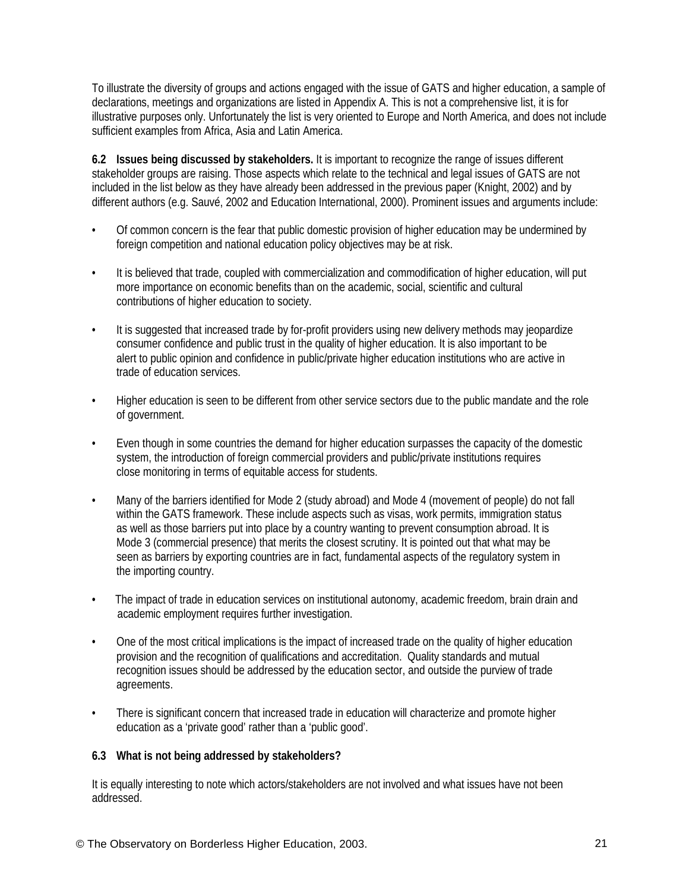To illustrate the diversity of groups and actions engaged with the issue of GATS and higher education, a sample of declarations, meetings and organizations are listed in Appendix A. This is not a comprehensive list, it is for illustrative purposes only. Unfortunately the list is very oriented to Europe and North America, and does not include sufficient examples from Africa, Asia and Latin America.

**6.2 Issues being discussed by stakeholders.** It is important to recognize the range of issues different stakeholder groups are raising. Those aspects which relate to the technical and legal issues of GATS are not included in the list below as they have already been addressed in the previous paper (Knight, 2002) and by different authors (e.g. Sauvé, 2002 and Education International, 2000). Prominent issues and arguments include:

- Of common concern is the fear that public domestic provision of higher education may be undermined by foreign competition and national education policy objectives may be at risk.
- It is believed that trade, coupled with commercialization and commodification of higher education, will put more importance on economic benefits than on the academic, social, scientific and cultural contributions of higher education to society.
- It is suggested that increased trade by for-profit providers using new delivery methods may jeopardize consumer confidence and public trust in the quality of higher education. It is also important to be alert to public opinion and confidence in public/private higher education institutions who are active in trade of education services.
- Higher education is seen to be different from other service sectors due to the public mandate and the role of government.
- Even though in some countries the demand for higher education surpasses the capacity of the domestic system, the introduction of foreign commercial providers and public/private institutions requires close monitoring in terms of equitable access for students.
- Many of the barriers identified for Mode 2 (study abroad) and Mode 4 (movement of people) do not fall within the GATS framework. These include aspects such as visas, work permits, immigration status as well as those barriers put into place by a country wanting to prevent consumption abroad. It is Mode 3 (commercial presence) that merits the closest scrutiny. It is pointed out that what may be seen as barriers by exporting countries are in fact, fundamental aspects of the regulatory system in the importing country.
- The impact of trade in education services on institutional autonomy, academic freedom, brain drain and academic employment requires further investigation.
- One of the most critical implications is the impact of increased trade on the quality of higher education provision and the recognition of qualifications and accreditation. Quality standards and mutual recognition issues should be addressed by the education sector, and outside the purview of trade agreements.
- There is significant concern that increased trade in education will characterize and promote higher education as a 'private good' rather than a 'public good'.

## **6.3 What is not being addressed by stakeholders?**

It is equally interesting to note which actors/stakeholders are not involved and what issues have not been addressed.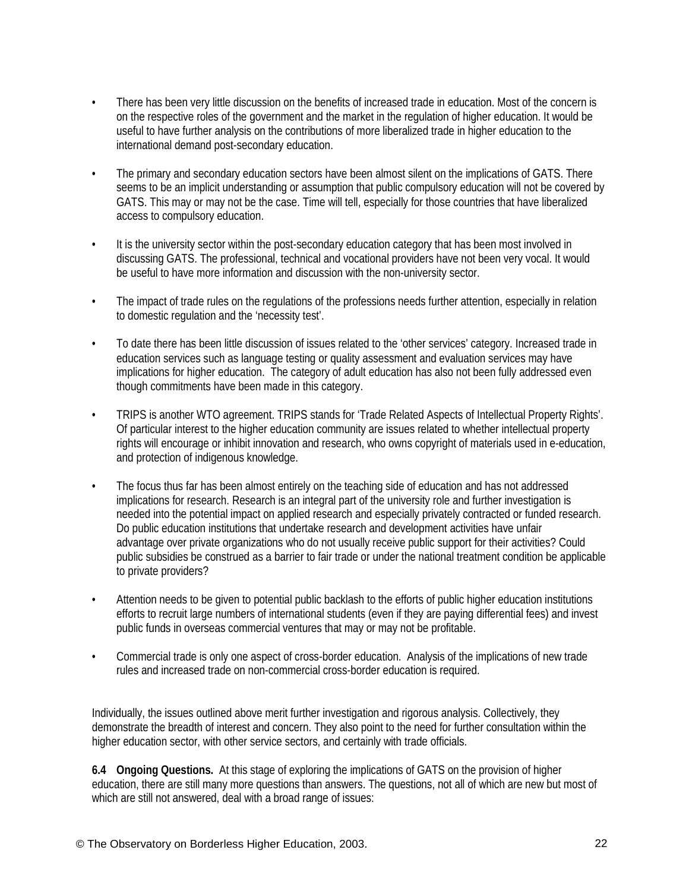- There has been very little discussion on the benefits of increased trade in education. Most of the concern is on the respective roles of the government and the market in the regulation of higher education. It would be useful to have further analysis on the contributions of more liberalized trade in higher education to the international demand post-secondary education.
- The primary and secondary education sectors have been almost silent on the implications of GATS. There seems to be an implicit understanding or assumption that public compulsory education will not be covered by GATS. This may or may not be the case. Time will tell, especially for those countries that have liberalized access to compulsory education.
- It is the university sector within the post-secondary education category that has been most involved in discussing GATS. The professional, technical and vocational providers have not been very vocal. It would be useful to have more information and discussion with the non-university sector.
- The impact of trade rules on the regulations of the professions needs further attention, especially in relation to domestic regulation and the 'necessity test'.
- To date there has been little discussion of issues related to the 'other services' category. Increased trade in education services such as language testing or quality assessment and evaluation services may have implications for higher education. The category of adult education has also not been fully addressed even though commitments have been made in this category.
- TRIPS is another WTO agreement. TRIPS stands for 'Trade Related Aspects of Intellectual Property Rights'. Of particular interest to the higher education community are issues related to whether intellectual property rights will encourage or inhibit innovation and research, who owns copyright of materials used in e-education, and protection of indigenous knowledge.
- The focus thus far has been almost entirely on the teaching side of education and has not addressed implications for research. Research is an integral part of the university role and further investigation is needed into the potential impact on applied research and especially privately contracted or funded research. Do public education institutions that undertake research and development activities have unfair advantage over private organizations who do not usually receive public support for their activities? Could public subsidies be construed as a barrier to fair trade or under the national treatment condition be applicable to private providers?
- Attention needs to be given to potential public backlash to the efforts of public higher education institutions efforts to recruit large numbers of international students (even if they are paying differential fees) and invest public funds in overseas commercial ventures that may or may not be profitable.
- Commercial trade is only one aspect of cross-border education. Analysis of the implications of new trade rules and increased trade on non-commercial cross-border education is required.

Individually, the issues outlined above merit further investigation and rigorous analysis. Collectively, they demonstrate the breadth of interest and concern. They also point to the need for further consultation within the higher education sector, with other service sectors, and certainly with trade officials.

**6.4 Ongoing Questions.** At this stage of exploring the implications of GATS on the provision of higher education, there are still many more questions than answers. The questions, not all of which are new but most of which are still not answered, deal with a broad range of issues: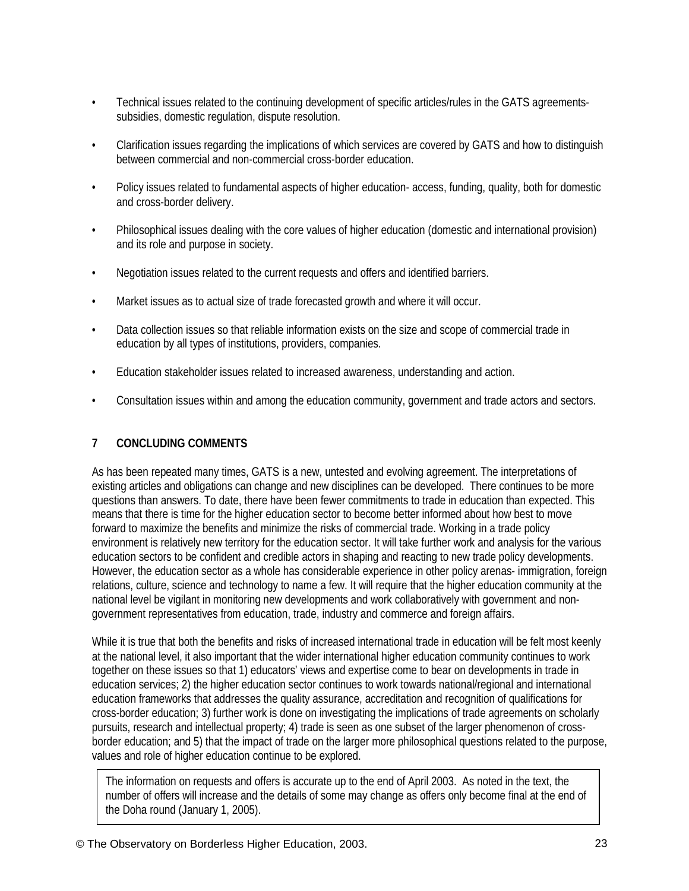- Technical issues related to the continuing development of specific articles/rules in the GATS agreementssubsidies, domestic regulation, dispute resolution.
- Clarification issues regarding the implications of which services are covered by GATS and how to distinguish between commercial and non-commercial cross-border education.
- Policy issues related to fundamental aspects of higher education- access, funding, quality, both for domestic and cross-border delivery.
- Philosophical issues dealing with the core values of higher education (domestic and international provision) and its role and purpose in society.
- Negotiation issues related to the current requests and offers and identified barriers.
- Market issues as to actual size of trade forecasted growth and where it will occur.
- Data collection issues so that reliable information exists on the size and scope of commercial trade in education by all types of institutions, providers, companies.
- Education stakeholder issues related to increased awareness, understanding and action.
- Consultation issues within and among the education community, government and trade actors and sectors.

# **7 CONCLUDING COMMENTS**

As has been repeated many times, GATS is a new, untested and evolving agreement. The interpretations of existing articles and obligations can change and new disciplines can be developed. There continues to be more questions than answers. To date, there have been fewer commitments to trade in education than expected. This means that there is time for the higher education sector to become better informed about how best to move forward to maximize the benefits and minimize the risks of commercial trade. Working in a trade policy environment is relatively new territory for the education sector. It will take further work and analysis for the various education sectors to be confident and credible actors in shaping and reacting to new trade policy developments. However, the education sector as a whole has considerable experience in other policy arenas- immigration, foreign relations, culture, science and technology to name a few. It will require that the higher education community at the national level be vigilant in monitoring new developments and work collaboratively with government and nongovernment representatives from education, trade, industry and commerce and foreign affairs.

While it is true that both the benefits and risks of increased international trade in education will be felt most keenly at the national level, it also important that the wider international higher education community continues to work together on these issues so that 1) educators' views and expertise come to bear on developments in trade in education services; 2) the higher education sector continues to work towards national/regional and international education frameworks that addresses the quality assurance, accreditation and recognition of qualifications for cross-border education; 3) further work is done on investigating the implications of trade agreements on scholarly pursuits, research and intellectual property; 4) trade is seen as one subset of the larger phenomenon of crossborder education; and 5) that the impact of trade on the larger more philosophical questions related to the purpose, values and role of higher education continue to be explored.

The information on requests and offers is accurate up to the end of April 2003. As noted in the text, the number of offers will increase and the details of some may change as offers only become final at the end of the Doha round (January 1, 2005).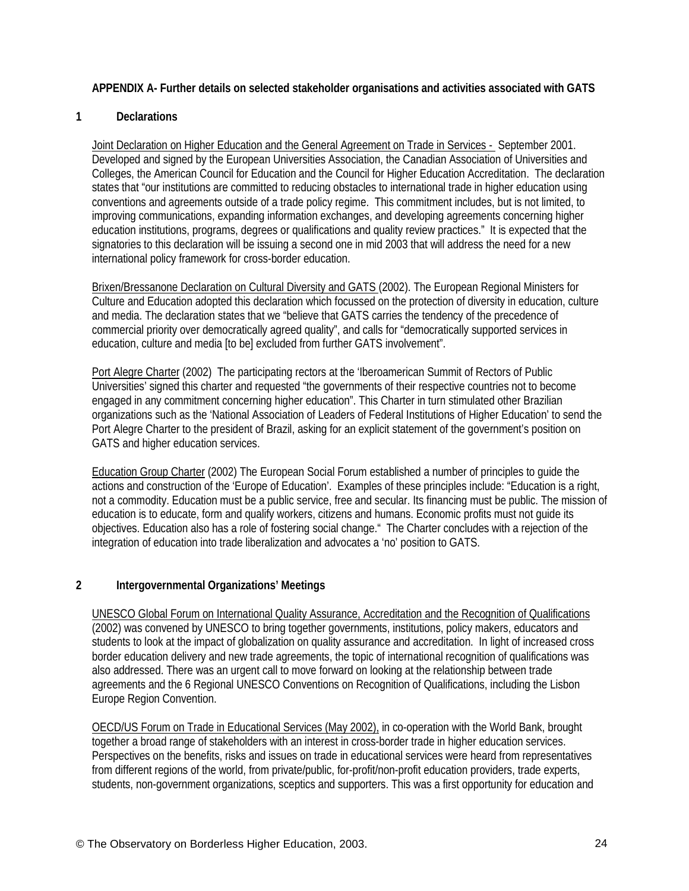## **APPENDIX A- Further details on selected stakeholder organisations and activities associated with GATS**

### **1 Declarations**

Joint Declaration on Higher Education and the General Agreement on Trade in Services - September 2001. Developed and signed by the European Universities Association, the Canadian Association of Universities and Colleges, the American Council for Education and the Council for Higher Education Accreditation. The declaration states that "our institutions are committed to reducing obstacles to international trade in higher education using conventions and agreements outside of a trade policy regime. This commitment includes, but is not limited, to improving communications, expanding information exchanges, and developing agreements concerning higher education institutions, programs, degrees or qualifications and quality review practices." It is expected that the signatories to this declaration will be issuing a second one in mid 2003 that will address the need for a new international policy framework for cross-border education.

Brixen/Bressanone Declaration on Cultural Diversity and GATS (2002). The European Regional Ministers for Culture and Education adopted this declaration which focussed on the protection of diversity in education, culture and media. The declaration states that we "believe that GATS carries the tendency of the precedence of commercial priority over democratically agreed quality", and calls for "democratically supported services in education, culture and media [to be] excluded from further GATS involvement".

Port Alegre Charter (2002) The participating rectors at the 'Iberoamerican Summit of Rectors of Public Universities' signed this charter and requested "the governments of their respective countries not to become engaged in any commitment concerning higher education". This Charter in turn stimulated other Brazilian organizations such as the 'National Association of Leaders of Federal Institutions of Higher Education' to send the Port Alegre Charter to the president of Brazil, asking for an explicit statement of the government's position on GATS and higher education services.

Education Group Charter (2002) The European Social Forum established a number of principles to guide the actions and construction of the 'Europe of Education'. Examples of these principles include: "Education is a right, not a commodity. Education must be a public service, free and secular. Its financing must be public. The mission of education is to educate, form and qualify workers, citizens and humans. Economic profits must not guide its objectives. Education also has a role of fostering social change." The Charter concludes with a rejection of the integration of education into trade liberalization and advocates a 'no' position to GATS.

#### **2 Intergovernmental Organizations' Meetings**

UNESCO Global Forum on International Quality Assurance, Accreditation and the Recognition of Qualifications (2002) was convened by UNESCO to bring together governments, institutions, policy makers, educators and students to look at the impact of globalization on quality assurance and accreditation. In light of increased cross border education delivery and new trade agreements, the topic of international recognition of qualifications was also addressed. There was an urgent call to move forward on looking at the relationship between trade agreements and the 6 Regional UNESCO Conventions on Recognition of Qualifications, including the Lisbon Europe Region Convention.

OECD/US Forum on Trade in Educational Services (May 2002), in co-operation with the World Bank, brought together a broad range of stakeholders with an interest in cross-border trade in higher education services. Perspectives on the benefits, risks and issues on trade in educational services were heard from representatives from different regions of the world, from private/public, for-profit/non-profit education providers, trade experts, students, non-government organizations, sceptics and supporters. This was a first opportunity for education and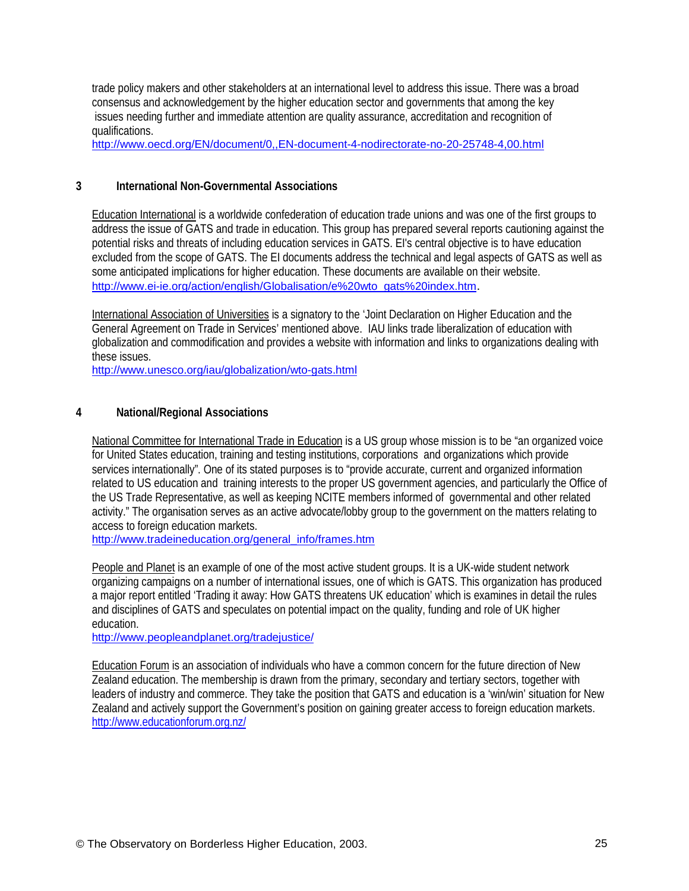trade policy makers and other stakeholders at an international level to address this issue. There was a broad consensus and acknowledgement by the higher education sector and governments that among the key issues needing further and immediate attention are quality assurance, accreditation and recognition of qualifications.

[http://www.oecd.org/EN/document/0,,EN-document-4-nodirectorate-no-20-25748-4,00.html](http://www.oecd.org/EN/document/0,,ENdocument4nodirectorateno20257484,00.html)

## **3 International Non-Governmental Associations**

Education International is a worldwide confederation of education trade unions and was one of the first groups to address the issue of GATS and trade in education. This group has prepared several reports cautioning against the potential risks and threats of including education services in GATS. EI's central objective is to have education excluded from the scope of GATS. The EI documents address the technical and legal aspects of GATS as well as some anticipated implications for higher education. These documents are available on their website. [http://www.ei-ie.org/action/english/Globalisation/e%20wto\\_gats%20index.htm.](http://www.eiie.org/action/english/Globalisation/e wto_gats index.htm)

International Association of Universities is a signatory to the 'Joint Declaration on Higher Education and the General Agreement on Trade in Services' mentioned above. IAU links trade liberalization of education with globalization and commodification and provides a website with information and links to organizations dealing with these issues.

[http://www.unesco.org/iau/globalization/wto-gats.html](http://www.unesco.org/iau/globalization/wtogats.html)

### **4 National/Regional Associations**

National Committee for International Trade in Education is a US group whose mission is to be "an organized voice for United States education, training and testing institutions, corporations and organizations which provide services internationally". One of its stated purposes is to "provide accurate, current and organized information related to US education and training interests to the proper US government agencies, and particularly the Office of the US Trade Representative, as well as keeping NCITE members informed of governmental and other related activity." The organisation serves as an active advocate/lobby group to the government on the matters relating to access to foreign education markets.

[http://www.tradeineducation.org/general\\_info/frames.htm](http://www.tradeineducation.org/general_info/frames.htm)

People and Planet is an example of one of the most active student groups. It is a UK-wide student network organizing campaigns on a number of international issues, one of which is GATS. This organization has produced a major report entitled 'Trading it away: How GATS threatens UK education' which is examines in detail the rules and disciplines of GATS and speculates on potential impact on the quality, funding and role of UK higher education.

<http://www.peopleandplanet.org/tradejustice/>

Education Forum is an association of individuals who have a common concern for the future direction of New Zealand education. The membership is drawn from the primary, secondary and tertiary sectors, together with leaders of industry and commerce. They take the position that GATS and education is a 'win/win' situation for New Zealand and actively support the Government's position on gaining greater access to foreign education markets. http://www.educationforum.org.nz/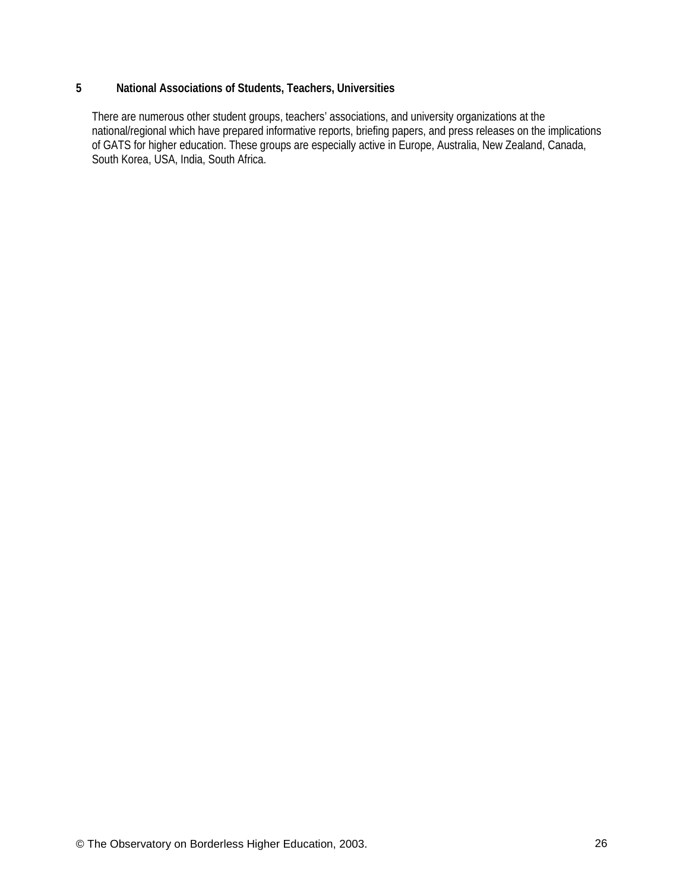## **5 National Associations of Students, Teachers, Universities**

There are numerous other student groups, teachers' associations, and university organizations at the national/regional which have prepared informative reports, briefing papers, and press releases on the implications of GATS for higher education. These groups are especially active in Europe, Australia, New Zealand, Canada, South Korea, USA, India, South Africa.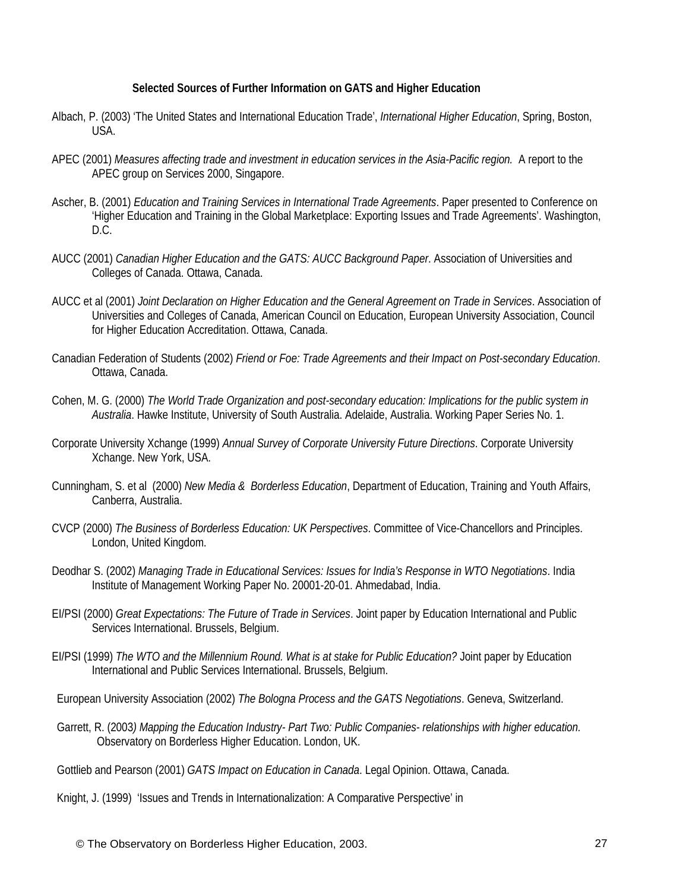#### **Selected Sources of Further Information on GATS and Higher Education**

- Albach, P. (2003) 'The United States and International Education Trade', *International Higher Education*, Spring, Boston, USA.
- APEC (2001) *Measures affecting trade and investment in education services in the Asia-Pacific region.* A report to the APEC group on Services 2000, Singapore.
- Ascher, B. (2001) *Education and Training Services in International Trade Agreements*. Paper presented to Conference on 'Higher Education and Training in the Global Marketplace: Exporting Issues and Trade Agreements'. Washington, D.C.
- AUCC (2001) *Canadian Higher Education and the GATS: AUCC Background Paper*. Association of Universities and Colleges of Canada. Ottawa, Canada.
- AUCC et al (2001) *Joint Declaration on Higher Education and the General Agreement on Trade in Services*. Association of Universities and Colleges of Canada, American Council on Education, European University Association, Council for Higher Education Accreditation. Ottawa, Canada.
- Canadian Federation of Students (2002) *Friend or Foe: Trade Agreements and their Impact on Post-secondary Education*. Ottawa, Canada.
- Cohen, M. G. (2000) *The World Trade Organization and post-secondary education: Implications for the public system in Australia*. Hawke Institute, University of South Australia. Adelaide, Australia. Working Paper Series No. 1.
- Corporate University Xchange (1999) *Annual Survey of Corporate University Future Directions*. Corporate University Xchange. New York, USA.
- Cunningham, S. et al (2000) *New Media & Borderless Education*, Department of Education, Training and Youth Affairs, Canberra, Australia.
- CVCP (2000) *The Business of Borderless Education: UK Perspectives*. Committee of Vice-Chancellors and Principles. London, United Kingdom.
- Deodhar S. (2002) *Managing Trade in Educational Services: Issues for India's Response in WTO Negotiations*. India Institute of Management Working Paper No. 20001-20-01. Ahmedabad, India.
- EI/PSI (2000) *Great Expectations: The Future of Trade in Services*. Joint paper by Education International and Public Services International. Brussels, Belgium.
- EI/PSI (1999) *The WTO and the Millennium Round. What is at stake for Public Education?* Joint paper by Education International and Public Services International. Brussels, Belgium.
- European University Association (2002) *The Bologna Process and the GATS Negotiations*. Geneva, Switzerland.
- Garrett, R. (2003*) Mapping the Education Industry- Part Two: Public Companies- relationships with higher education.* Observatory on Borderless Higher Education. London, UK.
- Gottlieb and Pearson (2001) *GATS Impact on Education in Canada*. Legal Opinion. Ottawa, Canada.
- Knight, J. (1999) 'Issues and Trends in Internationalization: A Comparative Perspective' in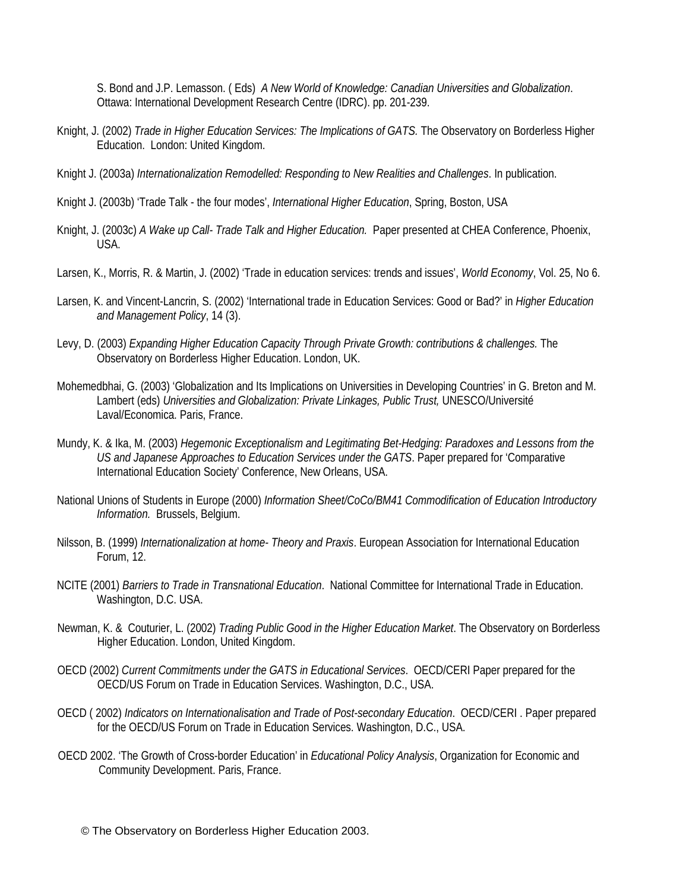S. Bond and J.P. Lemasson. ( Eds) *A New World of Knowledge: Canadian Universities and Globalization*. Ottawa: International Development Research Centre (IDRC). pp. 201-239.

- Knight, J. (2002) *Trade in Higher Education Services: The Implications of GATS.* The Observatory on Borderless Higher Education. London: United Kingdom.
- Knight J. (2003a) *Internationalization Remodelled: Responding to New Realities and Challenges*. In publication.
- Knight J. (2003b) 'Trade Talk the four modes', *International Higher Education*, Spring, Boston, USA
- Knight, J. (2003c) *A Wake up Call- Trade Talk and Higher Education.* Paper presented at CHEA Conference, Phoenix, USA.
- Larsen, K., Morris, R. & Martin, J. (2002) 'Trade in education services: trends and issues', *World Economy*, Vol. 25, No 6.
- Larsen, K. and Vincent-Lancrin, S. (2002) 'International trade in Education Services: Good or Bad?' in *Higher Education and Management Policy*, 14 (3).
- Levy, D. (2003) *Expanding Higher Education Capacity Through Private Growth: contributions & challenges.* The Observatory on Borderless Higher Education. London, UK.
- Mohemedbhai, G. (2003) 'Globalization and Its Implications on Universities in Developing Countries' in G. Breton and M. Lambert (eds) *Universities and Globalization: Private Linkages, Public Trust,* UNESCO/Université Laval/Economica. Paris, France.
- Mundy, K. & Ika, M. (2003) *Hegemonic Exceptionalism and Legitimating Bet-Hedging: Paradoxes and Lessons from the US and Japanese Approaches to Education Services under the GATS*. Paper prepared for 'Comparative International Education Society' Conference, New Orleans, USA.
- National Unions of Students in Europe (2000) *Information Sheet/CoCo/BM41 Commodification of Education Introductory Information.* Brussels, Belgium.
- Nilsson, B. (1999) *Internationalization at home- Theory and Praxis*. European Association for International Education Forum, 12.
- NCITE (2001) *Barriers to Trade in Transnational Education*. National Committee for International Trade in Education. Washington, D.C. USA.
- Newman, K. & Couturier, L. (2002) *Trading Public Good in the Higher Education Market*. The Observatory on Borderless Higher Education. London, United Kingdom.
- OECD (2002) *Current Commitments under the GATS in Educational Services*. OECD/CERI Paper prepared for the OECD/US Forum on Trade in Education Services. Washington, D.C., USA.
- OECD ( 2002) *Indicators on Internationalisation and Trade of Post-secondary Education*. OECD/CERI . Paper prepared for the OECD/US Forum on Trade in Education Services. Washington, D.C., USA.
- OECD 2002. 'The Growth of Cross-border Education' in *Educational Policy Analysis*, Organization for Economic and Community Development. Paris, France.
	- © The Observatory on Borderless Higher Education 2003.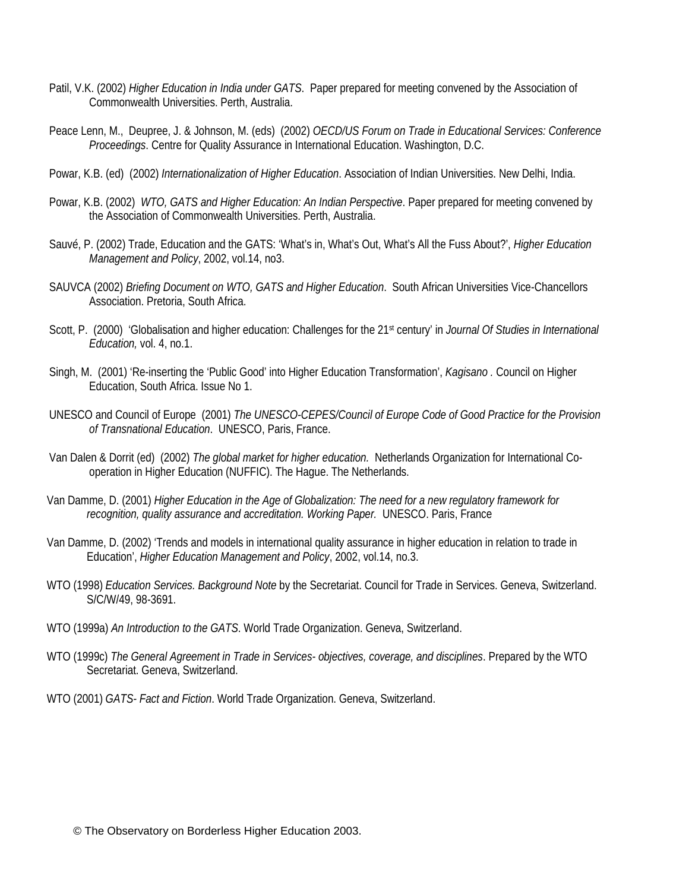- Patil, V.K. (2002) *Higher Education in India under GATS*. Paper prepared for meeting convened by the Association of Commonwealth Universities. Perth, Australia.
- Peace Lenn, M., Deupree, J. & Johnson, M. (eds) (2002) *OECD/US Forum on Trade in Educational Services: Conference Proceedings*. Centre for Quality Assurance in International Education. Washington, D.C.
- Powar, K.B. (ed) (2002) *Internationalization of Higher Education*. Association of Indian Universities. New Delhi, India.
- Powar, K.B. (2002) *WTO, GATS and Higher Education: An Indian Perspective*. Paper prepared for meeting convened by the Association of Commonwealth Universities. Perth, Australia.
- Sauvé, P. (2002) Trade, Education and the GATS: 'What's in, What's Out, What's All the Fuss About?', *Higher Education Management and Policy*, 2002, vol.14, no3.
- SAUVCA (2002) *Briefing Document on WTO, GATS and Higher Education*. South African Universities Vice-Chancellors Association. Pretoria, South Africa.
- Scott, P. (2000) 'Globalisation and higher education: Challenges for the 21st century' in *Journal Of Studies in International Education,* vol. 4, no.1.
- Singh, M. (2001) 'Re-inserting the 'Public Good' into Higher Education Transformation', *Kagisano .* Council on Higher Education, South Africa. Issue No 1.
- UNESCO and Council of Europe (2001) *The UNESCO-CEPES/Council of Europe Code of Good Practice for the Provision of Transnational Education*. UNESCO, Paris, France.
- Van Dalen & Dorrit (ed) (2002) *The global market for higher education.* Netherlands Organization for International Cooperation in Higher Education (NUFFIC). The Hague. The Netherlands.
- Van Damme, D. (2001) *Higher Education in the Age of Globalization: The need for a new regulatory framework for* recognition, quality assurance and accreditation. Working Paper. UNESCO. Paris, France
- Van Damme, D. (2002) 'Trends and models in international quality assurance in higher education in relation to trade in Education', *Higher Education Management and Policy*, 2002, vol.14, no.3.
- WTO (1998) *Education Services. Background Note* by the Secretariat. Council for Trade in Services. Geneva, Switzerland. S/C/W/49, 98-3691.
- WTO (1999a) *An Introduction to the GATS*. World Trade Organization. Geneva, Switzerland.
- WTO (1999c) *The General Agreement in Trade in Services- objectives, coverage, and disciplines*. Prepared by the WTO Secretariat. Geneva, Switzerland.
- WTO (2001) *GATS- Fact and Fiction*. World Trade Organization. Geneva, Switzerland.